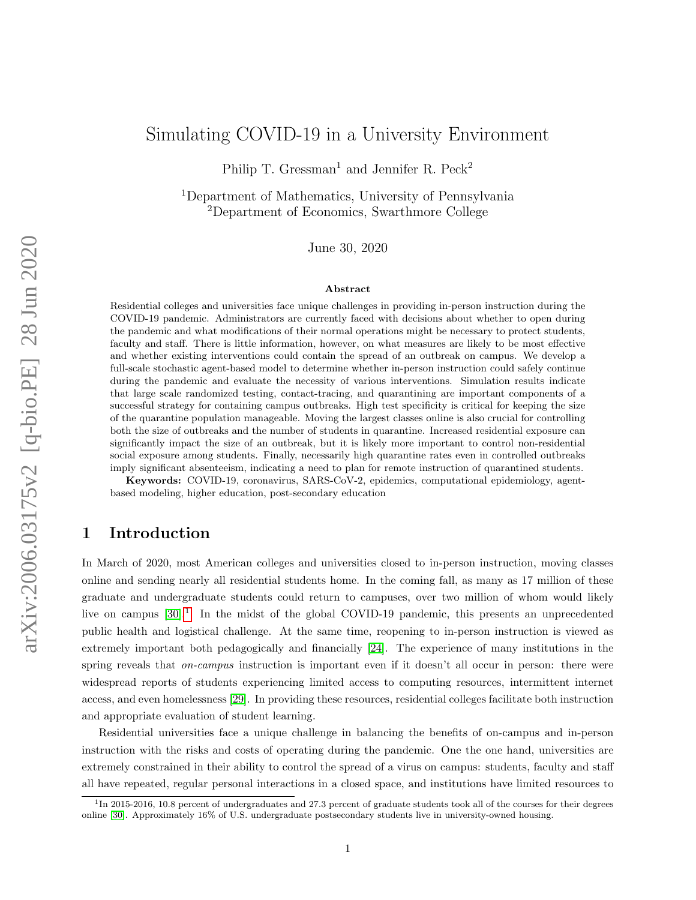# Simulating COVID-19 in a University Environment

Philip T. Gressman<sup>1</sup> and Jennifer R. Peck<sup>2</sup>

<sup>1</sup>Department of Mathematics, University of Pennsylvania <sup>2</sup>Department of Economics, Swarthmore College

June 30, 2020

#### Abstract

Residential colleges and universities face unique challenges in providing in-person instruction during the COVID-19 pandemic. Administrators are currently faced with decisions about whether to open during the pandemic and what modifications of their normal operations might be necessary to protect students, faculty and staff. There is little information, however, on what measures are likely to be most effective and whether existing interventions could contain the spread of an outbreak on campus. We develop a full-scale stochastic agent-based model to determine whether in-person instruction could safely continue during the pandemic and evaluate the necessity of various interventions. Simulation results indicate that large scale randomized testing, contact-tracing, and quarantining are important components of a successful strategy for containing campus outbreaks. High test specificity is critical for keeping the size of the quarantine population manageable. Moving the largest classes online is also crucial for controlling both the size of outbreaks and the number of students in quarantine. Increased residential exposure can significantly impact the size of an outbreak, but it is likely more important to control non-residential social exposure among students. Finally, necessarily high quarantine rates even in controlled outbreaks imply significant absenteeism, indicating a need to plan for remote instruction of quarantined students.

Keywords: COVID-19, coronavirus, SARS-CoV-2, epidemics, computational epidemiology, agentbased modeling, higher education, post-secondary education

### 1 Introduction

In March of 2020, most American colleges and universities closed to in-person instruction, moving classes online and sending nearly all residential students home. In the coming fall, as many as 17 million of these graduate and undergraduate students could return to campuses, over two million of whom would likely live on campus [\[30\]](#page-17-0).<sup>[1](#page-0-0)</sup> In the midst of the global COVID-19 pandemic, this presents an unprecedented public health and logistical challenge. At the same time, reopening to in-person instruction is viewed as extremely important both pedagogically and financially [\[24\]](#page-17-1). The experience of many institutions in the spring reveals that *on-campus* instruction is important even if it doesn't all occur in person: there were widespread reports of students experiencing limited access to computing resources, intermittent internet access, and even homelessness [\[29\]](#page-17-2). In providing these resources, residential colleges facilitate both instruction and appropriate evaluation of student learning.

Residential universities face a unique challenge in balancing the benefits of on-campus and in-person instruction with the risks and costs of operating during the pandemic. One the one hand, universities are extremely constrained in their ability to control the spread of a virus on campus: students, faculty and staff all have repeated, regular personal interactions in a closed space, and institutions have limited resources to

<span id="page-0-0"></span><sup>&</sup>lt;sup>1</sup>In 2015-2016, 10.8 percent of undergraduates and 27.3 percent of graduate students took all of the courses for their degrees online [\[30\]](#page-17-0). Approximately 16% of U.S. undergraduate postsecondary students live in university-owned housing.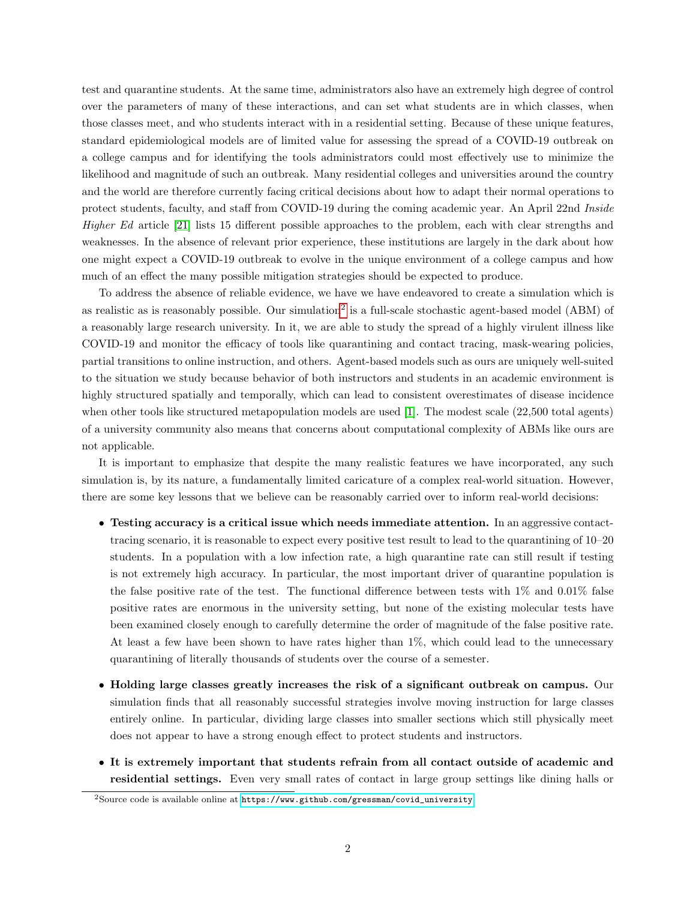test and quarantine students. At the same time, administrators also have an extremely high degree of control over the parameters of many of these interactions, and can set what students are in which classes, when those classes meet, and who students interact with in a residential setting. Because of these unique features, standard epidemiological models are of limited value for assessing the spread of a COVID-19 outbreak on a college campus and for identifying the tools administrators could most effectively use to minimize the likelihood and magnitude of such an outbreak. Many residential colleges and universities around the country and the world are therefore currently facing critical decisions about how to adapt their normal operations to protect students, faculty, and staff from COVID-19 during the coming academic year. An April 22nd Inside Higher Ed article [\[21\]](#page-16-0) lists 15 different possible approaches to the problem, each with clear strengths and weaknesses. In the absence of relevant prior experience, these institutions are largely in the dark about how one might expect a COVID-19 outbreak to evolve in the unique environment of a college campus and how much of an effect the many possible mitigation strategies should be expected to produce.

To address the absence of reliable evidence, we have we have endeavored to create a simulation which is as realistic as is reasonably possible. Our simulation<sup>[2](#page-1-0)</sup> is a full-scale stochastic agent-based model (ABM) of a reasonably large research university. In it, we are able to study the spread of a highly virulent illness like COVID-19 and monitor the efficacy of tools like quarantining and contact tracing, mask-wearing policies, partial transitions to online instruction, and others. Agent-based models such as ours are uniquely well-suited to the situation we study because behavior of both instructors and students in an academic environment is highly structured spatially and temporally, which can lead to consistent overestimates of disease incidence when other tools like structured metapopulation models are used [\[1\]](#page-15-0). The modest scale (22,500 total agents) of a university community also means that concerns about computational complexity of ABMs like ours are not applicable.

It is important to emphasize that despite the many realistic features we have incorporated, any such simulation is, by its nature, a fundamentally limited caricature of a complex real-world situation. However, there are some key lessons that we believe can be reasonably carried over to inform real-world decisions:

- Testing accuracy is a critical issue which needs immediate attention. In an aggressive contacttracing scenario, it is reasonable to expect every positive test result to lead to the quarantining of 10–20 students. In a population with a low infection rate, a high quarantine rate can still result if testing is not extremely high accuracy. In particular, the most important driver of quarantine population is the false positive rate of the test. The functional difference between tests with 1% and 0.01% false positive rates are enormous in the university setting, but none of the existing molecular tests have been examined closely enough to carefully determine the order of magnitude of the false positive rate. At least a few have been shown to have rates higher than 1%, which could lead to the unnecessary quarantining of literally thousands of students over the course of a semester.
- Holding large classes greatly increases the risk of a significant outbreak on campus. Our simulation finds that all reasonably successful strategies involve moving instruction for large classes entirely online. In particular, dividing large classes into smaller sections which still physically meet does not appear to have a strong enough effect to protect students and instructors.
- It is extremely important that students refrain from all contact outside of academic and residential settings. Even very small rates of contact in large group settings like dining halls or

<span id="page-1-0"></span> $2$ Source code is available online at  $https://www.github.com/gressman/covid\_university.$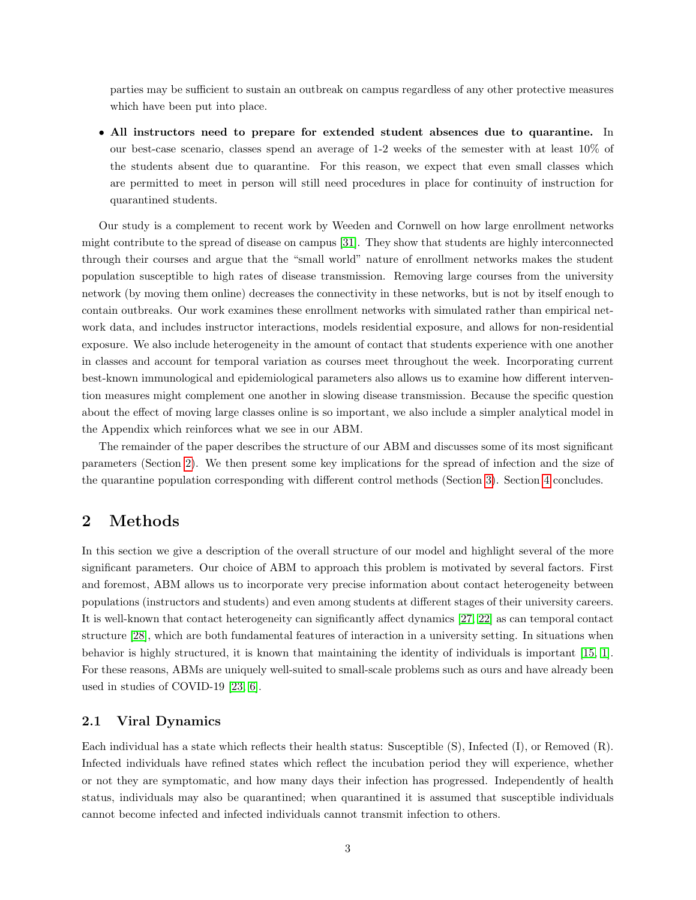parties may be sufficient to sustain an outbreak on campus regardless of any other protective measures which have been put into place.

• All instructors need to prepare for extended student absences due to quarantine. In our best-case scenario, classes spend an average of  $1-2$  weeks of the semester with at least  $10\%$  of the students absent due to quarantine. For this reason, we expect that even small classes which are permitted to meet in person will still need procedures in place for continuity of instruction for quarantined students.

Our study is a complement to recent work by Weeden and Cornwell on how large enrollment networks might contribute to the spread of disease on campus [\[31\]](#page-17-3). They show that students are highly interconnected through their courses and argue that the "small world" nature of enrollment networks makes the student population susceptible to high rates of disease transmission. Removing large courses from the university network (by moving them online) decreases the connectivity in these networks, but is not by itself enough to contain outbreaks. Our work examines these enrollment networks with simulated rather than empirical network data, and includes instructor interactions, models residential exposure, and allows for non-residential exposure. We also include heterogeneity in the amount of contact that students experience with one another in classes and account for temporal variation as courses meet throughout the week. Incorporating current best-known immunological and epidemiological parameters also allows us to examine how different intervention measures might complement one another in slowing disease transmission. Because the specific question about the effect of moving large classes online is so important, we also include a simpler analytical model in the Appendix which reinforces what we see in our ABM.

The remainder of the paper describes the structure of our ABM and discusses some of its most significant parameters (Section [2\)](#page-2-0). We then present some key implications for the spread of infection and the size of the quarantine population corresponding with different control methods (Section [3\)](#page-8-0). Section [4](#page-14-0) concludes.

# <span id="page-2-0"></span>2 Methods

In this section we give a description of the overall structure of our model and highlight several of the more significant parameters. Our choice of ABM to approach this problem is motivated by several factors. First and foremost, ABM allows us to incorporate very precise information about contact heterogeneity between populations (instructors and students) and even among students at different stages of their university careers. It is well-known that contact heterogeneity can significantly affect dynamics [\[27,](#page-17-4) [22\]](#page-17-5) as can temporal contact structure [\[28\]](#page-17-6), which are both fundamental features of interaction in a university setting. In situations when behavior is highly structured, it is known that maintaining the identity of individuals is important [\[15,](#page-16-1) [1\]](#page-15-0). For these reasons, ABMs are uniquely well-suited to small-scale problems such as ours and have already been used in studies of COVID-19 [\[23,](#page-17-7) [6\]](#page-15-1).

### <span id="page-2-1"></span>2.1 Viral Dynamics

Each individual has a state which reflects their health status: Susceptible (S), Infected (I), or Removed (R). Infected individuals have refined states which reflect the incubation period they will experience, whether or not they are symptomatic, and how many days their infection has progressed. Independently of health status, individuals may also be quarantined; when quarantined it is assumed that susceptible individuals cannot become infected and infected individuals cannot transmit infection to others.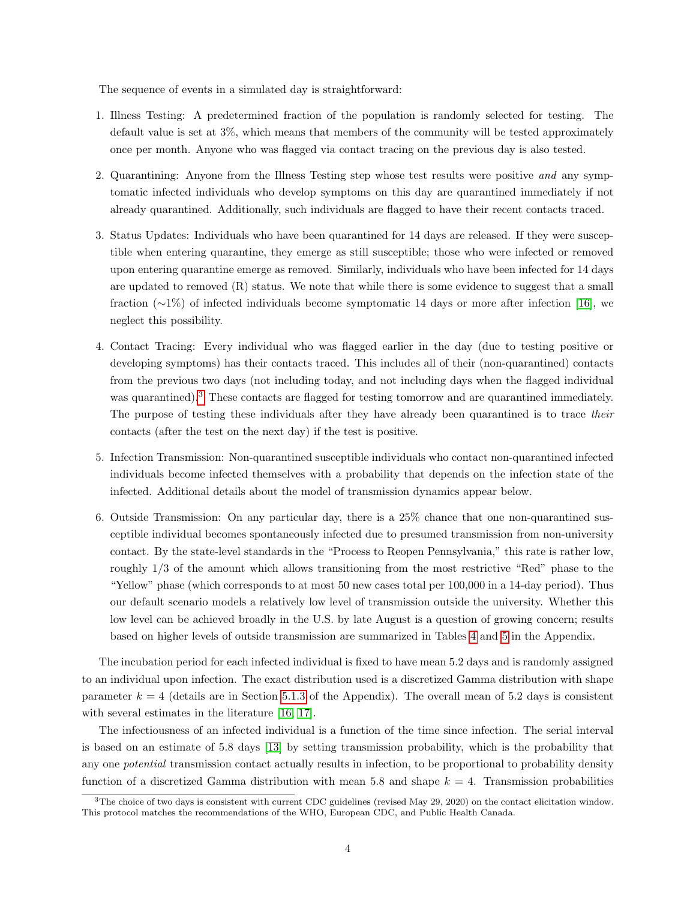The sequence of events in a simulated day is straightforward:

- 1. Illness Testing: A predetermined fraction of the population is randomly selected for testing. The default value is set at 3%, which means that members of the community will be tested approximately once per month. Anyone who was flagged via contact tracing on the previous day is also tested.
- 2. Quarantining: Anyone from the Illness Testing step whose test results were positive and any symptomatic infected individuals who develop symptoms on this day are quarantined immediately if not already quarantined. Additionally, such individuals are flagged to have their recent contacts traced.
- 3. Status Updates: Individuals who have been quarantined for 14 days are released. If they were susceptible when entering quarantine, they emerge as still susceptible; those who were infected or removed upon entering quarantine emerge as removed. Similarly, individuals who have been infected for 14 days are updated to removed  $(R)$  status. We note that while there is some evidence to suggest that a small fraction (∼1%) of infected individuals become symptomatic 14 days or more after infection [\[16\]](#page-16-2), we neglect this possibility.
- 4. Contact Tracing: Every individual who was flagged earlier in the day (due to testing positive or developing symptoms) has their contacts traced. This includes all of their (non-quarantined) contacts from the previous two days (not including today, and not including days when the flagged individual was quarantined).<sup>[3](#page-3-0)</sup> These contacts are flagged for testing tomorrow and are quarantined immediately. The purpose of testing these individuals after they have already been quarantined is to trace their contacts (after the test on the next day) if the test is positive.
- 5. Infection Transmission: Non-quarantined susceptible individuals who contact non-quarantined infected individuals become infected themselves with a probability that depends on the infection state of the infected. Additional details about the model of transmission dynamics appear below.
- 6. Outside Transmission: On any particular day, there is a 25% chance that one non-quarantined susceptible individual becomes spontaneously infected due to presumed transmission from non-university contact. By the state-level standards in the "Process to Reopen Pennsylvania," this rate is rather low, roughly 1/3 of the amount which allows transitioning from the most restrictive "Red" phase to the "Yellow" phase (which corresponds to at most 50 new cases total per 100,000 in a 14-day period). Thus our default scenario models a relatively low level of transmission outside the university. Whether this low level can be achieved broadly in the U.S. by late August is a question of growing concern; results based on higher levels of outside transmission are summarized in Tables [4](#page-24-0) and [5](#page-24-1) in the Appendix.

The incubation period for each infected individual is fixed to have mean 5.2 days and is randomly assigned to an individual upon infection. The exact distribution used is a discretized Gamma distribution with shape parameter  $k = 4$  (details are in Section [5.1.3](#page-21-0) of the Appendix). The overall mean of 5.2 days is consistent with several estimates in the literature [\[16,](#page-16-2) [17\]](#page-16-3).

The infectiousness of an infected individual is a function of the time since infection. The serial interval is based on an estimate of 5.8 days [\[13\]](#page-16-4) by setting transmission probability, which is the probability that any one potential transmission contact actually results in infection, to be proportional to probability density function of a discretized Gamma distribution with mean 5.8 and shape  $k = 4$ . Transmission probabilities

<span id="page-3-0"></span> $3$ The choice of two days is consistent with current CDC guidelines (revised May 29, 2020) on the contact elicitation window. This protocol matches the recommendations of the WHO, European CDC, and Public Health Canada.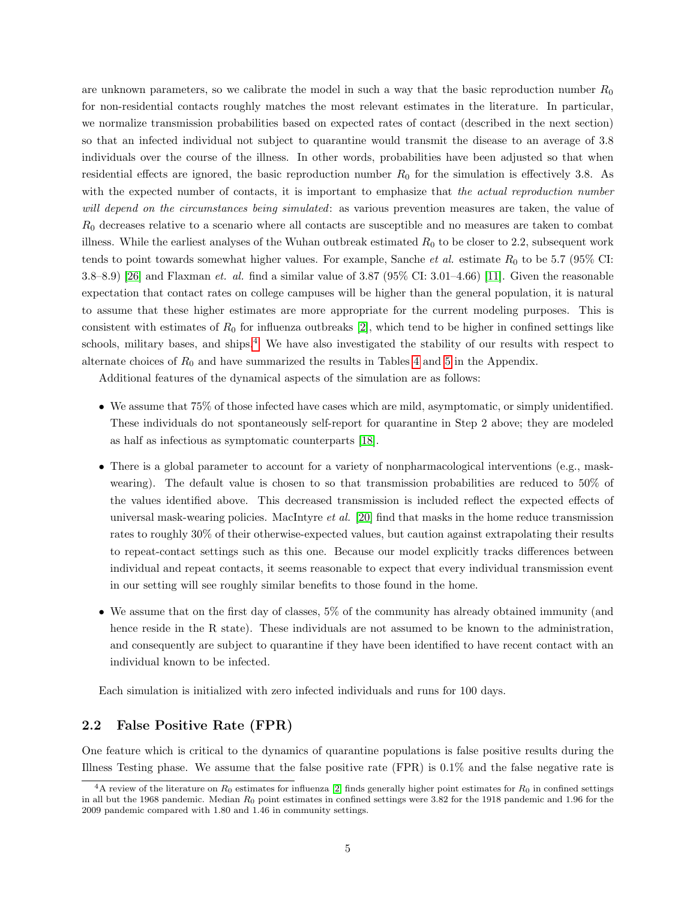are unknown parameters, so we calibrate the model in such a way that the basic reproduction number  $R_0$ for non-residential contacts roughly matches the most relevant estimates in the literature. In particular, we normalize transmission probabilities based on expected rates of contact (described in the next section) so that an infected individual not subject to quarantine would transmit the disease to an average of 3.8 individuals over the course of the illness. In other words, probabilities have been adjusted so that when residential effects are ignored, the basic reproduction number  $R_0$  for the simulation is effectively 3.8. As with the expected number of contacts, it is important to emphasize that the actual reproduction number will depend on the circumstances being simulated: as various prevention measures are taken, the value of  $R_0$  decreases relative to a scenario where all contacts are susceptible and no measures are taken to combat illness. While the earliest analyses of the Wuhan outbreak estimated  $R_0$  to be closer to 2.2, subsequent work tends to point towards somewhat higher values. For example, Sanche *et al.* estimate  $R_0$  to be 5.7 (95% CI: 3.8–8.9) [\[26\]](#page-17-8) and Flaxman et. al. find a similar value of 3.87 (95% CI: 3.01–4.66) [\[11\]](#page-16-5). Given the reasonable expectation that contact rates on college campuses will be higher than the general population, it is natural to assume that these higher estimates are more appropriate for the current modeling purposes. This is consistent with estimates of  $R_0$  for influenza outbreaks [\[2\]](#page-15-2), which tend to be higher in confined settings like schools, military bases, and ships.<sup>[4](#page-4-0)</sup> We have also investigated the stability of our results with respect to alternate choices of  $R_0$  and have summarized the results in Tables [4](#page-24-0) and [5](#page-24-1) in the Appendix.

Additional features of the dynamical aspects of the simulation are as follows:

- We assume that 75% of those infected have cases which are mild, asymptomatic, or simply unidentified. These individuals do not spontaneously self-report for quarantine in Step 2 above; they are modeled as half as infectious as symptomatic counterparts [\[18\]](#page-16-6).
- There is a global parameter to account for a variety of nonpharmacological interventions (e.g., maskwearing). The default value is chosen to so that transmission probabilities are reduced to 50% of the values identified above. This decreased transmission is included reflect the expected effects of universal mask-wearing policies. MacIntyre et al. [\[20\]](#page-16-7) find that masks in the home reduce transmission rates to roughly 30% of their otherwise-expected values, but caution against extrapolating their results to repeat-contact settings such as this one. Because our model explicitly tracks differences between individual and repeat contacts, it seems reasonable to expect that every individual transmission event in our setting will see roughly similar benefits to those found in the home.
- We assume that on the first day of classes, 5% of the community has already obtained immunity (and hence reside in the R state). These individuals are not assumed to be known to the administration, and consequently are subject to quarantine if they have been identified to have recent contact with an individual known to be infected.

Each simulation is initialized with zero infected individuals and runs for 100 days.

### 2.2 False Positive Rate (FPR)

One feature which is critical to the dynamics of quarantine populations is false positive results during the Illness Testing phase. We assume that the false positive rate (FPR) is 0.1% and the false negative rate is

<span id="page-4-0"></span><sup>&</sup>lt;sup>4</sup>A review of the literature on  $R_0$  estimates for influenza [\[2\]](#page-15-2) finds generally higher point estimates for  $R_0$  in confined settings in all but the 1968 pandemic. Median  $R_0$  point estimates in confined settings were 3.82 for the 1918 pandemic and 1.96 for the 2009 pandemic compared with 1.80 and 1.46 in community settings.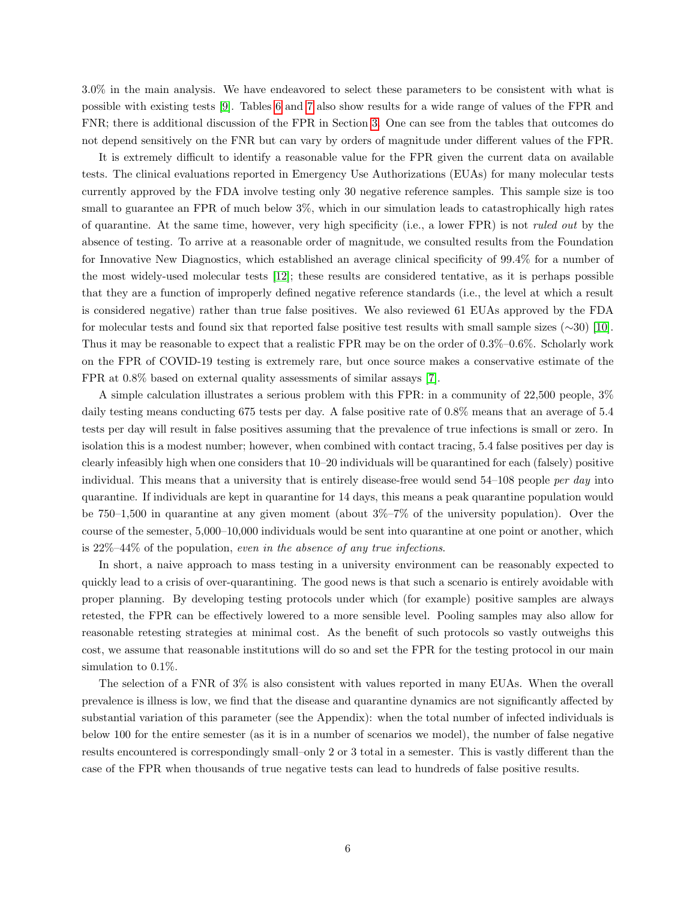3.0% in the main analysis. We have endeavored to select these parameters to be consistent with what is possible with existing tests [\[9\]](#page-16-8). Tables [6](#page-25-0) and [7](#page-25-1) also show results for a wide range of values of the FPR and FNR; there is additional discussion of the FPR in Section [3.](#page-8-0) One can see from the tables that outcomes do not depend sensitively on the FNR but can vary by orders of magnitude under different values of the FPR.

It is extremely difficult to identify a reasonable value for the FPR given the current data on available tests. The clinical evaluations reported in Emergency Use Authorizations (EUAs) for many molecular tests currently approved by the FDA involve testing only 30 negative reference samples. This sample size is too small to guarantee an FPR of much below 3%, which in our simulation leads to catastrophically high rates of quarantine. At the same time, however, very high specificity (i.e., a lower FPR) is not ruled out by the absence of testing. To arrive at a reasonable order of magnitude, we consulted results from the Foundation for Innovative New Diagnostics, which established an average clinical specificity of 99.4% for a number of the most widely-used molecular tests [\[12\]](#page-16-9); these results are considered tentative, as it is perhaps possible that they are a function of improperly defined negative reference standards (i.e., the level at which a result is considered negative) rather than true false positives. We also reviewed 61 EUAs approved by the FDA for molecular tests and found six that reported false positive test results with small sample sizes (∼30) [\[10\]](#page-16-10). Thus it may be reasonable to expect that a realistic FPR may be on the order of 0.3%–0.6%. Scholarly work on the FPR of COVID-19 testing is extremely rare, but once source makes a conservative estimate of the FPR at 0.8% based on external quality assessments of similar assays [\[7\]](#page-15-3).

A simple calculation illustrates a serious problem with this FPR: in a community of 22,500 people, 3% daily testing means conducting 675 tests per day. A false positive rate of 0.8% means that an average of 5.4 tests per day will result in false positives assuming that the prevalence of true infections is small or zero. In isolation this is a modest number; however, when combined with contact tracing, 5.4 false positives per day is clearly infeasibly high when one considers that 10–20 individuals will be quarantined for each (falsely) positive individual. This means that a university that is entirely disease-free would send 54–108 people per day into quarantine. If individuals are kept in quarantine for 14 days, this means a peak quarantine population would be 750–1,500 in quarantine at any given moment (about 3%–7% of the university population). Over the course of the semester, 5,000–10,000 individuals would be sent into quarantine at one point or another, which is 22%–44% of the population, even in the absence of any true infections.

In short, a naive approach to mass testing in a university environment can be reasonably expected to quickly lead to a crisis of over-quarantining. The good news is that such a scenario is entirely avoidable with proper planning. By developing testing protocols under which (for example) positive samples are always retested, the FPR can be effectively lowered to a more sensible level. Pooling samples may also allow for reasonable retesting strategies at minimal cost. As the benefit of such protocols so vastly outweighs this cost, we assume that reasonable institutions will do so and set the FPR for the testing protocol in our main simulation to 0.1%.

The selection of a FNR of 3% is also consistent with values reported in many EUAs. When the overall prevalence is illness is low, we find that the disease and quarantine dynamics are not significantly affected by substantial variation of this parameter (see the Appendix): when the total number of infected individuals is below 100 for the entire semester (as it is in a number of scenarios we model), the number of false negative results encountered is correspondingly small–only 2 or 3 total in a semester. This is vastly different than the case of the FPR when thousands of true negative tests can lead to hundreds of false positive results.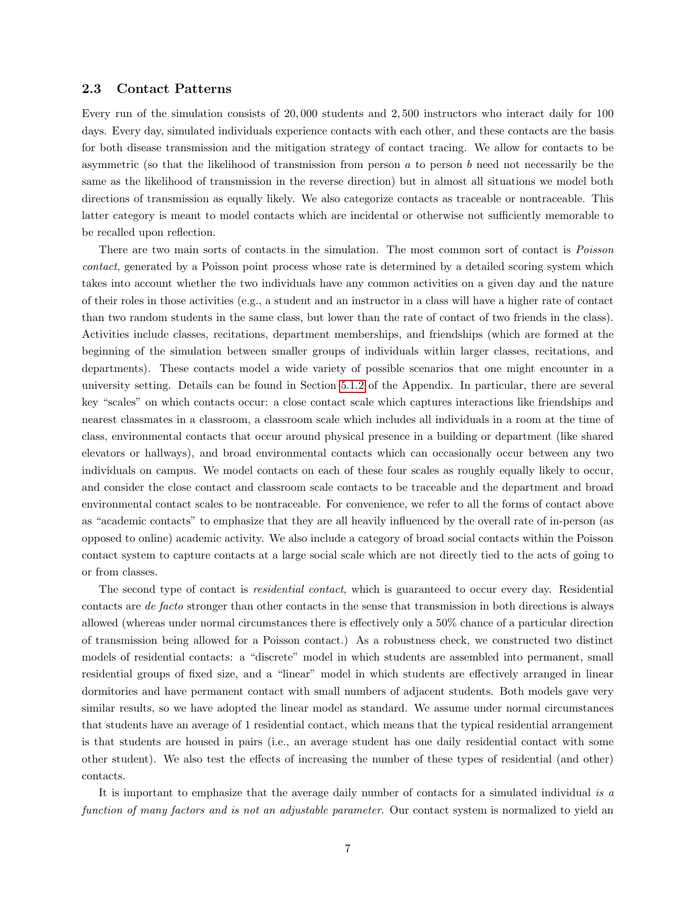#### <span id="page-6-0"></span>2.3 Contact Patterns

Every run of the simulation consists of 20, 000 students and 2, 500 instructors who interact daily for 100 days. Every day, simulated individuals experience contacts with each other, and these contacts are the basis for both disease transmission and the mitigation strategy of contact tracing. We allow for contacts to be asymmetric (so that the likelihood of transmission from person  $a$  to person  $b$  need not necessarily be the same as the likelihood of transmission in the reverse direction) but in almost all situations we model both directions of transmission as equally likely. We also categorize contacts as traceable or nontraceable. This latter category is meant to model contacts which are incidental or otherwise not sufficiently memorable to be recalled upon reflection.

There are two main sorts of contacts in the simulation. The most common sort of contact is Poisson contact, generated by a Poisson point process whose rate is determined by a detailed scoring system which takes into account whether the two individuals have any common activities on a given day and the nature of their roles in those activities (e.g., a student and an instructor in a class will have a higher rate of contact than two random students in the same class, but lower than the rate of contact of two friends in the class). Activities include classes, recitations, department memberships, and friendships (which are formed at the beginning of the simulation between smaller groups of individuals within larger classes, recitations, and departments). These contacts model a wide variety of possible scenarios that one might encounter in a university setting. Details can be found in Section [5.1.2](#page-18-0) of the Appendix. In particular, there are several key "scales" on which contacts occur: a close contact scale which captures interactions like friendships and nearest classmates in a classroom, a classroom scale which includes all individuals in a room at the time of class, environmental contacts that occur around physical presence in a building or department (like shared elevators or hallways), and broad environmental contacts which can occasionally occur between any two individuals on campus. We model contacts on each of these four scales as roughly equally likely to occur, and consider the close contact and classroom scale contacts to be traceable and the department and broad environmental contact scales to be nontraceable. For convenience, we refer to all the forms of contact above as "academic contacts" to emphasize that they are all heavily influenced by the overall rate of in-person (as opposed to online) academic activity. We also include a category of broad social contacts within the Poisson contact system to capture contacts at a large social scale which are not directly tied to the acts of going to or from classes.

The second type of contact is *residential contact*, which is guaranteed to occur every day. Residential contacts are de facto stronger than other contacts in the sense that transmission in both directions is always allowed (whereas under normal circumstances there is effectively only a 50% chance of a particular direction of transmission being allowed for a Poisson contact.) As a robustness check, we constructed two distinct models of residential contacts: a "discrete" model in which students are assembled into permanent, small residential groups of fixed size, and a "linear" model in which students are effectively arranged in linear dormitories and have permanent contact with small numbers of adjacent students. Both models gave very similar results, so we have adopted the linear model as standard. We assume under normal circumstances that students have an average of 1 residential contact, which means that the typical residential arrangement is that students are housed in pairs (i.e., an average student has one daily residential contact with some other student). We also test the effects of increasing the number of these types of residential (and other) contacts.

It is important to emphasize that the average daily number of contacts for a simulated individual is a function of many factors and is not an adjustable parameter. Our contact system is normalized to yield an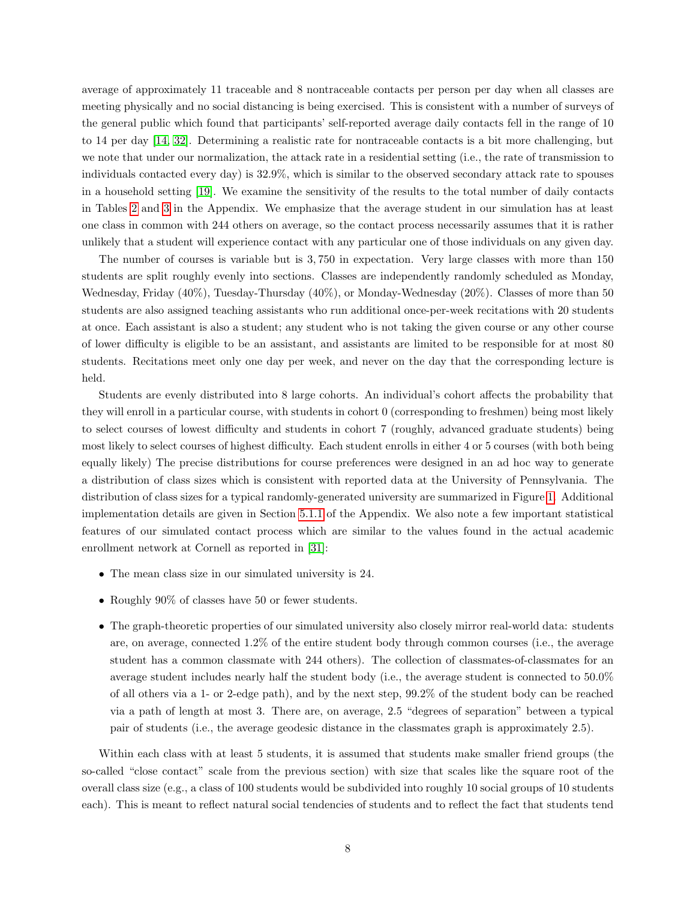average of approximately 11 traceable and 8 nontraceable contacts per person per day when all classes are meeting physically and no social distancing is being exercised. This is consistent with a number of surveys of the general public which found that participants' self-reported average daily contacts fell in the range of 10 to 14 per day [\[14,](#page-16-11) [32\]](#page-17-9). Determining a realistic rate for nontraceable contacts is a bit more challenging, but we note that under our normalization, the attack rate in a residential setting (i.e., the rate of transmission to individuals contacted every day) is 32.9%, which is similar to the observed secondary attack rate to spouses in a household setting [\[19\]](#page-16-12). We examine the sensitivity of the results to the total number of daily contacts in Tables [2](#page-23-0) and [3](#page-23-1) in the Appendix. We emphasize that the average student in our simulation has at least one class in common with 244 others on average, so the contact process necessarily assumes that it is rather unlikely that a student will experience contact with any particular one of those individuals on any given day.

The number of courses is variable but is 3, 750 in expectation. Very large classes with more than 150 students are split roughly evenly into sections. Classes are independently randomly scheduled as Monday, Wednesday, Friday (40%), Tuesday-Thursday (40%), or Monday-Wednesday (20%). Classes of more than 50 students are also assigned teaching assistants who run additional once-per-week recitations with 20 students at once. Each assistant is also a student; any student who is not taking the given course or any other course of lower difficulty is eligible to be an assistant, and assistants are limited to be responsible for at most 80 students. Recitations meet only one day per week, and never on the day that the corresponding lecture is held.

Students are evenly distributed into 8 large cohorts. An individual's cohort affects the probability that they will enroll in a particular course, with students in cohort 0 (corresponding to freshmen) being most likely to select courses of lowest difficulty and students in cohort 7 (roughly, advanced graduate students) being most likely to select courses of highest difficulty. Each student enrolls in either 4 or 5 courses (with both being equally likely) The precise distributions for course preferences were designed in an ad hoc way to generate a distribution of class sizes which is consistent with reported data at the University of Pennsylvania. The distribution of class sizes for a typical randomly-generated university are summarized in Figure [1.](#page-8-1) Additional implementation details are given in Section [5.1.1](#page-18-1) of the Appendix. We also note a few important statistical features of our simulated contact process which are similar to the values found in the actual academic enrollment network at Cornell as reported in [\[31\]](#page-17-3):

- The mean class size in our simulated university is 24.
- Roughly 90% of classes have 50 or fewer students.
- The graph-theoretic properties of our simulated university also closely mirror real-world data: students are, on average, connected 1.2% of the entire student body through common courses (i.e., the average student has a common classmate with 244 others). The collection of classmates-of-classmates for an average student includes nearly half the student body (i.e., the average student is connected to 50.0% of all others via a 1- or 2-edge path), and by the next step, 99.2% of the student body can be reached via a path of length at most 3. There are, on average, 2.5 "degrees of separation" between a typical pair of students (i.e., the average geodesic distance in the classmates graph is approximately 2.5).

Within each class with at least 5 students, it is assumed that students make smaller friend groups (the so-called "close contact" scale from the previous section) with size that scales like the square root of the overall class size (e.g., a class of 100 students would be subdivided into roughly 10 social groups of 10 students each). This is meant to reflect natural social tendencies of students and to reflect the fact that students tend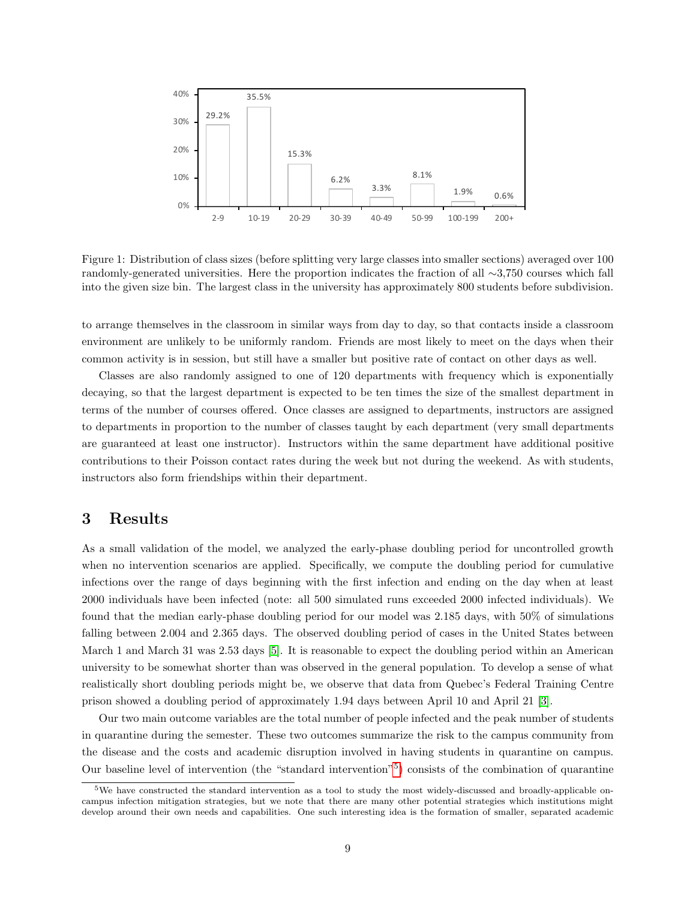<span id="page-8-1"></span>

Figure 1: Distribution of class sizes (before splitting very large classes into smaller sections) averaged over 100 randomly-generated universities. Here the proportion indicates the fraction of all ∼3,750 courses which fall into the given size bin. The largest class in the university has approximately 800 students before subdivision.

to arrange themselves in the classroom in similar ways from day to day, so that contacts inside a classroom environment are unlikely to be uniformly random. Friends are most likely to meet on the days when their common activity is in session, but still have a smaller but positive rate of contact on other days as well.

Classes are also randomly assigned to one of 120 departments with frequency which is exponentially decaying, so that the largest department is expected to be ten times the size of the smallest department in terms of the number of courses offered. Once classes are assigned to departments, instructors are assigned to departments in proportion to the number of classes taught by each department (very small departments are guaranteed at least one instructor). Instructors within the same department have additional positive contributions to their Poisson contact rates during the week but not during the weekend. As with students, instructors also form friendships within their department.

# <span id="page-8-0"></span>3 Results

As a small validation of the model, we analyzed the early-phase doubling period for uncontrolled growth when no intervention scenarios are applied. Specifically, we compute the doubling period for cumulative infections over the range of days beginning with the first infection and ending on the day when at least 2000 individuals have been infected (note: all 500 simulated runs exceeded 2000 infected individuals). We found that the median early-phase doubling period for our model was 2.185 days, with 50% of simulations falling between 2.004 and 2.365 days. The observed doubling period of cases in the United States between March 1 and March 31 was 2.53 days [\[5\]](#page-15-4). It is reasonable to expect the doubling period within an American university to be somewhat shorter than was observed in the general population. To develop a sense of what realistically short doubling periods might be, we observe that data from Quebec's Federal Training Centre prison showed a doubling period of approximately 1.94 days between April 10 and April 21 [\[3\]](#page-15-5).

Our two main outcome variables are the total number of people infected and the peak number of students in quarantine during the semester. These two outcomes summarize the risk to the campus community from the disease and the costs and academic disruption involved in having students in quarantine on campus. Our baseline level of intervention (the "standard intervention"[5](#page-8-2) ) consists of the combination of quarantine

<span id="page-8-2"></span><sup>5</sup>We have constructed the standard intervention as a tool to study the most widely-discussed and broadly-applicable oncampus infection mitigation strategies, but we note that there are many other potential strategies which institutions might develop around their own needs and capabilities. One such interesting idea is the formation of smaller, separated academic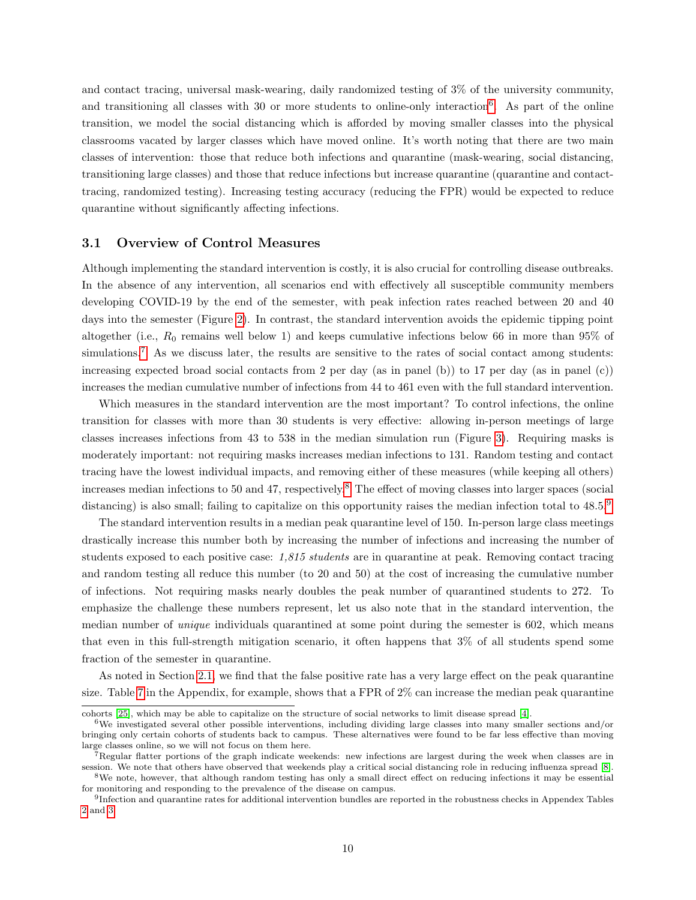and contact tracing, universal mask-wearing, daily randomized testing of 3% of the university community, and transitioning all classes with 30 or more students to online-only interaction<sup>[6](#page-9-0)</sup>. As part of the online transition, we model the social distancing which is afforded by moving smaller classes into the physical classrooms vacated by larger classes which have moved online. It's worth noting that there are two main classes of intervention: those that reduce both infections and quarantine (mask-wearing, social distancing, transitioning large classes) and those that reduce infections but increase quarantine (quarantine and contacttracing, randomized testing). Increasing testing accuracy (reducing the FPR) would be expected to reduce quarantine without significantly affecting infections.

#### 3.1 Overview of Control Measures

Although implementing the standard intervention is costly, it is also crucial for controlling disease outbreaks. In the absence of any intervention, all scenarios end with effectively all susceptible community members developing COVID-19 by the end of the semester, with peak infection rates reached between 20 and 40 days into the semester (Figure [2\)](#page-10-0). In contrast, the standard intervention avoids the epidemic tipping point altogether (i.e.,  $R_0$  remains well below 1) and keeps cumulative infections below 66 in more than 95% of simulations.<sup>[7](#page-9-1)</sup> As we discuss later, the results are sensitive to the rates of social contact among students: increasing expected broad social contacts from 2 per day (as in panel (b)) to 17 per day (as in panel (c)) increases the median cumulative number of infections from 44 to 461 even with the full standard intervention.

Which measures in the standard intervention are the most important? To control infections, the online transition for classes with more than 30 students is very effective: allowing in-person meetings of large classes increases infections from 43 to 538 in the median simulation run (Figure [3\)](#page-11-0). Requiring masks is moderately important: not requiring masks increases median infections to 131. Random testing and contact tracing have the lowest individual impacts, and removing either of these measures (while keeping all others) increases median infections to 50 and 47, respectively.[8](#page-9-2) The effect of moving classes into larger spaces (social distancing) is also small; failing to capitalize on this opportunity raises the median infection total to  $48.5<sup>9</sup>$  $48.5<sup>9</sup>$  $48.5<sup>9</sup>$ 

The standard intervention results in a median peak quarantine level of 150. In-person large class meetings drastically increase this number both by increasing the number of infections and increasing the number of students exposed to each positive case: 1,815 students are in quarantine at peak. Removing contact tracing and random testing all reduce this number (to 20 and 50) at the cost of increasing the cumulative number of infections. Not requiring masks nearly doubles the peak number of quarantined students to 272. To emphasize the challenge these numbers represent, let us also note that in the standard intervention, the median number of *unique* individuals quarantined at some point during the semester is 602, which means that even in this full-strength mitigation scenario, it often happens that 3% of all students spend some fraction of the semester in quarantine.

As noted in Section [2.1,](#page-2-1) we find that the false positive rate has a very large effect on the peak quarantine size. Table [7](#page-25-1) in the Appendix, for example, shows that a FPR of 2% can increase the median peak quarantine

cohorts [\[25\]](#page-17-10), which may be able to capitalize on the structure of social networks to limit disease spread [\[4\]](#page-15-6).

<span id="page-9-0"></span> $6W$ e investigated several other possible interventions, including dividing large classes into many smaller sections and/or bringing only certain cohorts of students back to campus. These alternatives were found to be far less effective than moving large classes online, so we will not focus on them here.

<span id="page-9-1"></span><sup>7</sup>Regular flatter portions of the graph indicate weekends: new infections are largest during the week when classes are in session. We note that others have observed that weekends play a critical social distancing role in reducing influenza spread [\[8\]](#page-15-7). <sup>8</sup>We note, however, that although random testing has only a small direct effect on reducing infections it may be essential

<span id="page-9-2"></span>for monitoring and responding to the prevalence of the disease on campus.

<span id="page-9-3"></span><sup>&</sup>lt;sup>9</sup>Infection and quarantine rates for additional intervention bundles are reported in the robustness checks in Appendex Tables [2](#page-23-0) and [3.](#page-23-1)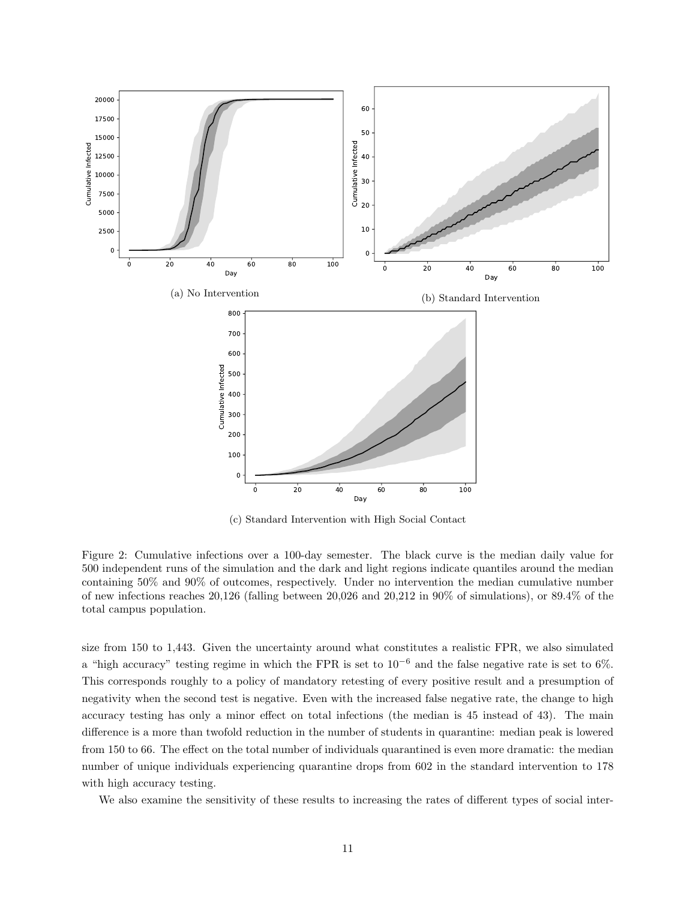<span id="page-10-0"></span>

(c) Standard Intervention with High Social Contact

Figure 2: Cumulative infections over a 100-day semester. The black curve is the median daily value for 500 independent runs of the simulation and the dark and light regions indicate quantiles around the median containing 50% and 90% of outcomes, respectively. Under no intervention the median cumulative number of new infections reaches 20,126 (falling between 20,026 and 20,212 in 90% of simulations), or 89.4% of the total campus population.

size from 150 to 1,443. Given the uncertainty around what constitutes a realistic FPR, we also simulated a "high accuracy" testing regime in which the FPR is set to  $10^{-6}$  and the false negative rate is set to 6%. This corresponds roughly to a policy of mandatory retesting of every positive result and a presumption of negativity when the second test is negative. Even with the increased false negative rate, the change to high accuracy testing has only a minor effect on total infections (the median is 45 instead of 43). The main difference is a more than twofold reduction in the number of students in quarantine: median peak is lowered from 150 to 66. The effect on the total number of individuals quarantined is even more dramatic: the median number of unique individuals experiencing quarantine drops from 602 in the standard intervention to 178 with high accuracy testing.

We also examine the sensitivity of these results to increasing the rates of different types of social inter-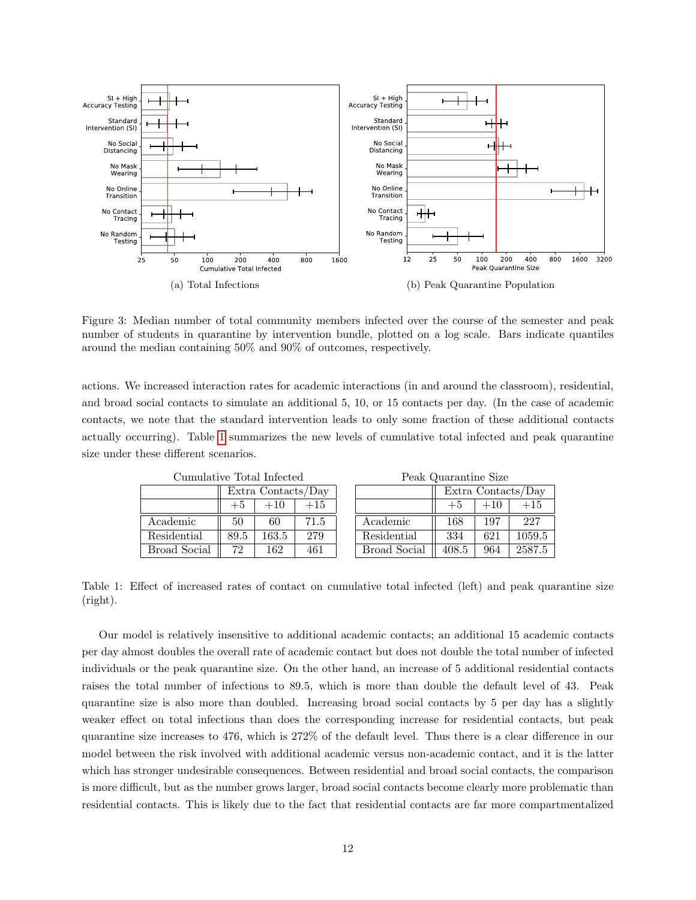<span id="page-11-0"></span>

Figure 3: Median number of total community members infected over the course of the semester and peak number of students in quarantine by intervention bundle, plotted on a log scale. Bars indicate quantiles around the median containing 50% and 90% of outcomes, respectively.

actions. We increased interaction rates for academic interactions (in and around the classroom), residential, and broad social contacts to simulate an additional 5, 10, or 15 contacts per day. (In the case of academic contacts, we note that the standard intervention leads to only some fraction of these additional contacts actually occurring). Table [1](#page-11-1) summarizes the new levels of cumulative total infected and peak quarantine size under these different scenarios.

<span id="page-11-1"></span>

| ошшшалуе толат ппеслед |                        |       |      |  |  |  |  |
|------------------------|------------------------|-------|------|--|--|--|--|
|                        | Extra Contacts/Day     |       |      |  |  |  |  |
|                        | $+15$<br>$+10$<br>$+5$ |       |      |  |  |  |  |
| Academic               | 50                     | 60    | 71.5 |  |  |  |  |
| Residential            | 89.5                   | 163.5 | 279  |  |  |  |  |
| <b>Broad Social</b>    | 72                     | 162   | 461  |  |  |  |  |

Cumulative Total Infected

Peak Quarantine Size

| 1 can watercome sho |                    |       |        |  |  |  |  |  |
|---------------------|--------------------|-------|--------|--|--|--|--|--|
|                     | Extra Contacts/Day |       |        |  |  |  |  |  |
|                     | $+5$               | $+10$ | $+15$  |  |  |  |  |  |
| Academic            | 168                | 197   | 227    |  |  |  |  |  |
| Residential         | 334                | 621   | 1059.5 |  |  |  |  |  |
| <b>Broad Social</b> | 408.5              | 964   | 2587.5 |  |  |  |  |  |

Table 1: Effect of increased rates of contact on cumulative total infected (left) and peak quarantine size (right).

Our model is relatively insensitive to additional academic contacts; an additional 15 academic contacts per day almost doubles the overall rate of academic contact but does not double the total number of infected individuals or the peak quarantine size. On the other hand, an increase of 5 additional residential contacts raises the total number of infections to 89.5, which is more than double the default level of 43. Peak quarantine size is also more than doubled. Increasing broad social contacts by 5 per day has a slightly weaker effect on total infections than does the corresponding increase for residential contacts, but peak quarantine size increases to 476, which is 272% of the default level. Thus there is a clear difference in our model between the risk involved with additional academic versus non-academic contact, and it is the latter which has stronger undesirable consequences. Between residential and broad social contacts, the comparison is more difficult, but as the number grows larger, broad social contacts become clearly more problematic than residential contacts. This is likely due to the fact that residential contacts are far more compartmentalized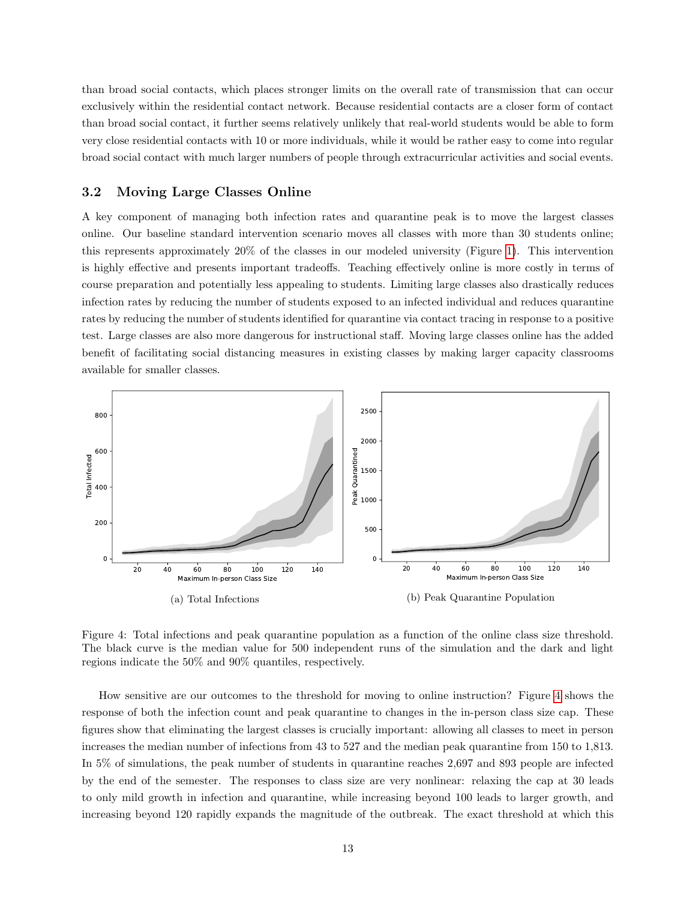than broad social contacts, which places stronger limits on the overall rate of transmission that can occur exclusively within the residential contact network. Because residential contacts are a closer form of contact than broad social contact, it further seems relatively unlikely that real-world students would be able to form very close residential contacts with 10 or more individuals, while it would be rather easy to come into regular broad social contact with much larger numbers of people through extracurricular activities and social events.

#### 3.2 Moving Large Classes Online

A key component of managing both infection rates and quarantine peak is to move the largest classes online. Our baseline standard intervention scenario moves all classes with more than 30 students online; this represents approximately 20% of the classes in our modeled university (Figure [1\)](#page-8-1). This intervention is highly effective and presents important tradeoffs. Teaching effectively online is more costly in terms of course preparation and potentially less appealing to students. Limiting large classes also drastically reduces infection rates by reducing the number of students exposed to an infected individual and reduces quarantine rates by reducing the number of students identified for quarantine via contact tracing in response to a positive test. Large classes are also more dangerous for instructional staff. Moving large classes online has the added benefit of facilitating social distancing measures in existing classes by making larger capacity classrooms available for smaller classes.

<span id="page-12-0"></span>

Figure 4: Total infections and peak quarantine population as a function of the online class size threshold. The black curve is the median value for 500 independent runs of the simulation and the dark and light regions indicate the 50% and 90% quantiles, respectively.

How sensitive are our outcomes to the threshold for moving to online instruction? Figure [4](#page-12-0) shows the response of both the infection count and peak quarantine to changes in the in-person class size cap. These figures show that eliminating the largest classes is crucially important: allowing all classes to meet in person increases the median number of infections from 43 to 527 and the median peak quarantine from 150 to 1,813. In 5% of simulations, the peak number of students in quarantine reaches 2,697 and 893 people are infected by the end of the semester. The responses to class size are very nonlinear: relaxing the cap at 30 leads to only mild growth in infection and quarantine, while increasing beyond 100 leads to larger growth, and increasing beyond 120 rapidly expands the magnitude of the outbreak. The exact threshold at which this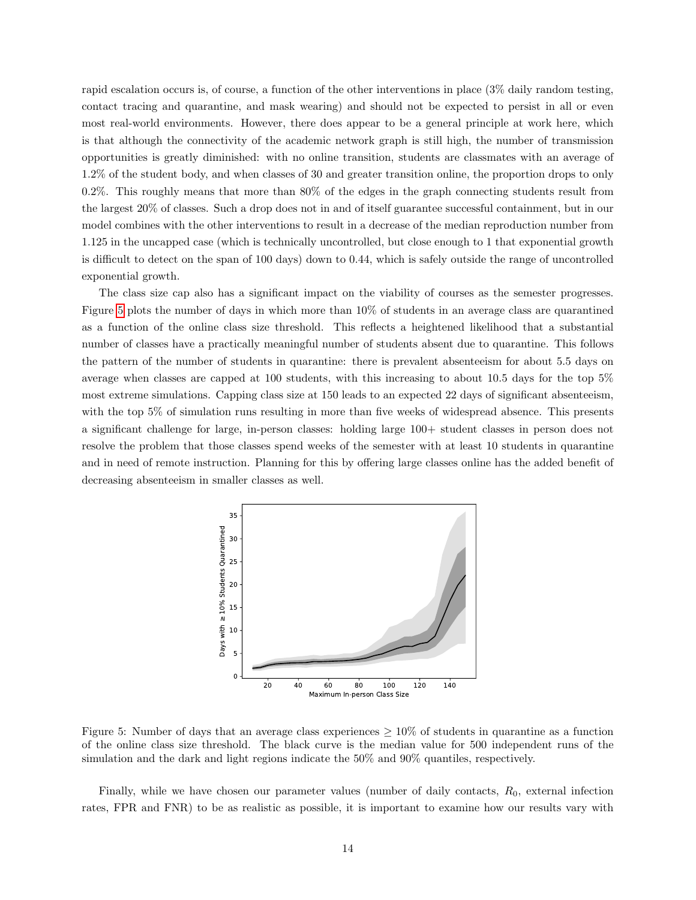rapid escalation occurs is, of course, a function of the other interventions in place (3% daily random testing, contact tracing and quarantine, and mask wearing) and should not be expected to persist in all or even most real-world environments. However, there does appear to be a general principle at work here, which is that although the connectivity of the academic network graph is still high, the number of transmission opportunities is greatly diminished: with no online transition, students are classmates with an average of 1.2% of the student body, and when classes of 30 and greater transition online, the proportion drops to only 0.2%. This roughly means that more than 80% of the edges in the graph connecting students result from the largest 20% of classes. Such a drop does not in and of itself guarantee successful containment, but in our model combines with the other interventions to result in a decrease of the median reproduction number from 1.125 in the uncapped case (which is technically uncontrolled, but close enough to 1 that exponential growth is difficult to detect on the span of 100 days) down to 0.44, which is safely outside the range of uncontrolled exponential growth.

The class size cap also has a significant impact on the viability of courses as the semester progresses. Figure [5](#page-13-0) plots the number of days in which more than 10% of students in an average class are quarantined as a function of the online class size threshold. This reflects a heightened likelihood that a substantial number of classes have a practically meaningful number of students absent due to quarantine. This follows the pattern of the number of students in quarantine: there is prevalent absenteeism for about 5.5 days on average when classes are capped at 100 students, with this increasing to about 10.5 days for the top 5% most extreme simulations. Capping class size at 150 leads to an expected 22 days of significant absenteeism, with the top 5% of simulation runs resulting in more than five weeks of widespread absence. This presents a significant challenge for large, in-person classes: holding large 100+ student classes in person does not resolve the problem that those classes spend weeks of the semester with at least 10 students in quarantine and in need of remote instruction. Planning for this by offering large classes online has the added benefit of decreasing absenteeism in smaller classes as well.

<span id="page-13-0"></span>

Figure 5: Number of days that an average class experiences  $\geq 10\%$  of students in quarantine as a function of the online class size threshold. The black curve is the median value for 500 independent runs of the simulation and the dark and light regions indicate the 50% and 90% quantiles, respectively.

Finally, while we have chosen our parameter values (number of daily contacts,  $R_0$ , external infection rates, FPR and FNR) to be as realistic as possible, it is important to examine how our results vary with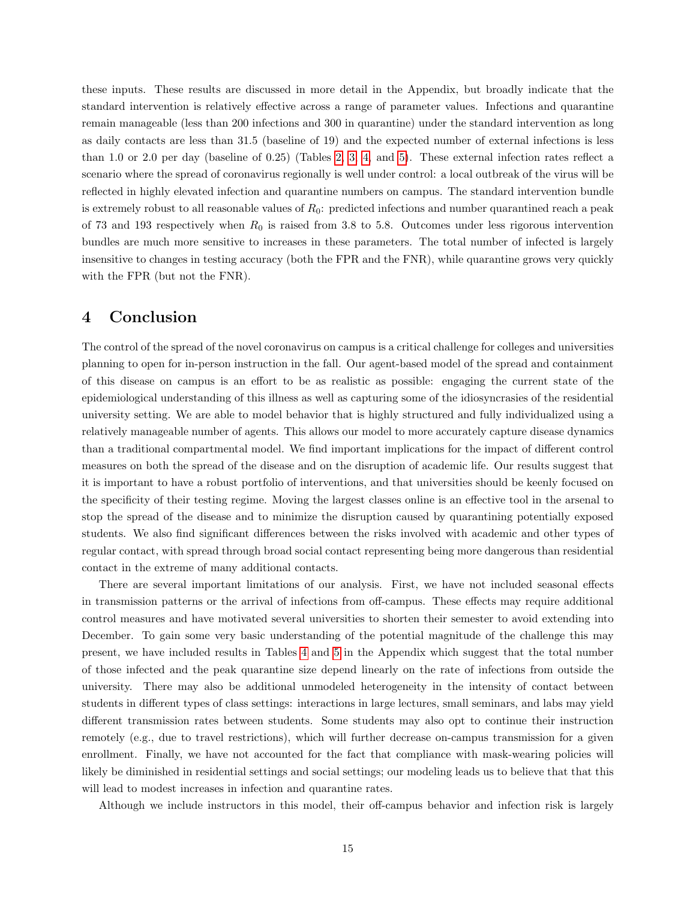these inputs. These results are discussed in more detail in the Appendix, but broadly indicate that the standard intervention is relatively effective across a range of parameter values. Infections and quarantine remain manageable (less than 200 infections and 300 in quarantine) under the standard intervention as long as daily contacts are less than 31.5 (baseline of 19) and the expected number of external infections is less than 1.0 or 2.0 per day (baseline of 0.25) (Tables [2,](#page-23-0) [3,](#page-23-1) [4,](#page-24-0) and [5\)](#page-24-1). These external infection rates reflect a scenario where the spread of coronavirus regionally is well under control: a local outbreak of the virus will be reflected in highly elevated infection and quarantine numbers on campus. The standard intervention bundle is extremely robust to all reasonable values of  $R_0$ : predicted infections and number quarantined reach a peak of 73 and 193 respectively when  $R_0$  is raised from 3.8 to 5.8. Outcomes under less rigorous intervention bundles are much more sensitive to increases in these parameters. The total number of infected is largely insensitive to changes in testing accuracy (both the FPR and the FNR), while quarantine grows very quickly with the FPR (but not the FNR).

## <span id="page-14-0"></span>4 Conclusion

The control of the spread of the novel coronavirus on campus is a critical challenge for colleges and universities planning to open for in-person instruction in the fall. Our agent-based model of the spread and containment of this disease on campus is an effort to be as realistic as possible: engaging the current state of the epidemiological understanding of this illness as well as capturing some of the idiosyncrasies of the residential university setting. We are able to model behavior that is highly structured and fully individualized using a relatively manageable number of agents. This allows our model to more accurately capture disease dynamics than a traditional compartmental model. We find important implications for the impact of different control measures on both the spread of the disease and on the disruption of academic life. Our results suggest that it is important to have a robust portfolio of interventions, and that universities should be keenly focused on the specificity of their testing regime. Moving the largest classes online is an effective tool in the arsenal to stop the spread of the disease and to minimize the disruption caused by quarantining potentially exposed students. We also find significant differences between the risks involved with academic and other types of regular contact, with spread through broad social contact representing being more dangerous than residential contact in the extreme of many additional contacts.

There are several important limitations of our analysis. First, we have not included seasonal effects in transmission patterns or the arrival of infections from off-campus. These effects may require additional control measures and have motivated several universities to shorten their semester to avoid extending into December. To gain some very basic understanding of the potential magnitude of the challenge this may present, we have included results in Tables [4](#page-24-0) and [5](#page-24-1) in the Appendix which suggest that the total number of those infected and the peak quarantine size depend linearly on the rate of infections from outside the university. There may also be additional unmodeled heterogeneity in the intensity of contact between students in different types of class settings: interactions in large lectures, small seminars, and labs may yield different transmission rates between students. Some students may also opt to continue their instruction remotely (e.g., due to travel restrictions), which will further decrease on-campus transmission for a given enrollment. Finally, we have not accounted for the fact that compliance with mask-wearing policies will likely be diminished in residential settings and social settings; our modeling leads us to believe that that this will lead to modest increases in infection and quarantine rates.

Although we include instructors in this model, their off-campus behavior and infection risk is largely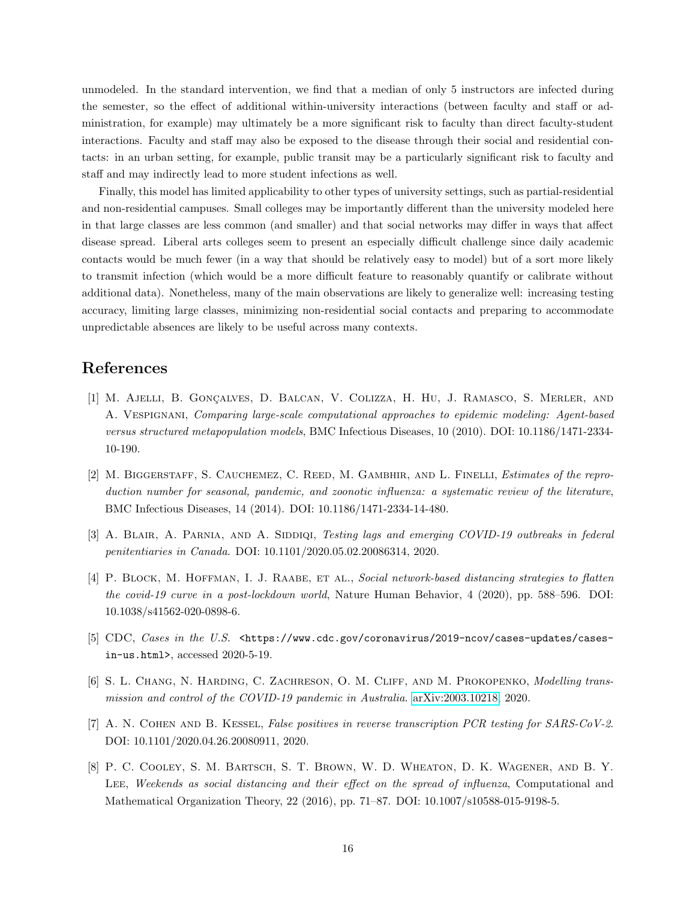unmodeled. In the standard intervention, we find that a median of only 5 instructors are infected during the semester, so the effect of additional within-university interactions (between faculty and staff or administration, for example) may ultimately be a more significant risk to faculty than direct faculty-student interactions. Faculty and staff may also be exposed to the disease through their social and residential contacts: in an urban setting, for example, public transit may be a particularly significant risk to faculty and staff and may indirectly lead to more student infections as well.

Finally, this model has limited applicability to other types of university settings, such as partial-residential and non-residential campuses. Small colleges may be importantly different than the university modeled here in that large classes are less common (and smaller) and that social networks may differ in ways that affect disease spread. Liberal arts colleges seem to present an especially difficult challenge since daily academic contacts would be much fewer (in a way that should be relatively easy to model) but of a sort more likely to transmit infection (which would be a more difficult feature to reasonably quantify or calibrate without additional data). Nonetheless, many of the main observations are likely to generalize well: increasing testing accuracy, limiting large classes, minimizing non-residential social contacts and preparing to accommodate unpredictable absences are likely to be useful across many contexts.

# References

- <span id="page-15-0"></span>[1] M. Ajelli, B. Gonçalves, D. Balcan, V. Colizza, H. Hu, J. Ramasco, S. Merler, and A. Vespignani, Comparing large-scale computational approaches to epidemic modeling: Agent-based versus structured metapopulation models, BMC Infectious Diseases, 10 (2010). DOI: 10.1186/1471-2334- 10-190.
- <span id="page-15-2"></span>[2] M. BIGGERSTAFF, S. CAUCHEMEZ, C. REED, M. GAMBHIR, AND L. FINELLI, Estimates of the reproduction number for seasonal, pandemic, and zoonotic influenza: a systematic review of the literature, BMC Infectious Diseases, 14 (2014). DOI: 10.1186/1471-2334-14-480.
- <span id="page-15-5"></span>[3] A. BLAIR, A. PARNIA, AND A. SIDDIQI, Testing lags and emerging COVID-19 outbreaks in federal penitentiaries in Canada. DOI: 10.1101/2020.05.02.20086314, 2020.
- <span id="page-15-6"></span>[4] P. BLOCK, M. HOFFMAN, I. J. RAABE, ET AL., Social network-based distancing strategies to flatten the covid-19 curve in a post-lockdown world, Nature Human Behavior, 4 (2020), pp. 588–596. DOI: 10.1038/s41562-020-0898-6.
- <span id="page-15-4"></span>[5] CDC, Cases in the U.S.  $\kappa$  //www.cdc.gov/coronavirus/2019-ncov/cases-updates/casesin-us.html>, accessed 2020-5-19.
- <span id="page-15-1"></span>[6] S. L. CHANG, N. HARDING, C. ZACHRESON, O. M. CLIFF, AND M. PROKOPENKO, Modelling transmission and control of the COVID-19 pandemic in Australia. [arXiv:2003.10218,](http://arxiv.org/abs/2003.10218) 2020.
- <span id="page-15-3"></span>[7] A. N. COHEN AND B. KESSEL, False positives in reverse transcription PCR testing for SARS-CoV-2. DOI: 10.1101/2020.04.26.20080911, 2020.
- <span id="page-15-7"></span>[8] P. C. Cooley, S. M. Bartsch, S. T. Brown, W. D. Wheaton, D. K. Wagener, and B. Y. LEE, Weekends as social distancing and their effect on the spread of influenza, Computational and Mathematical Organization Theory, 22 (2016), pp. 71–87. DOI: 10.1007/s10588-015-9198-5.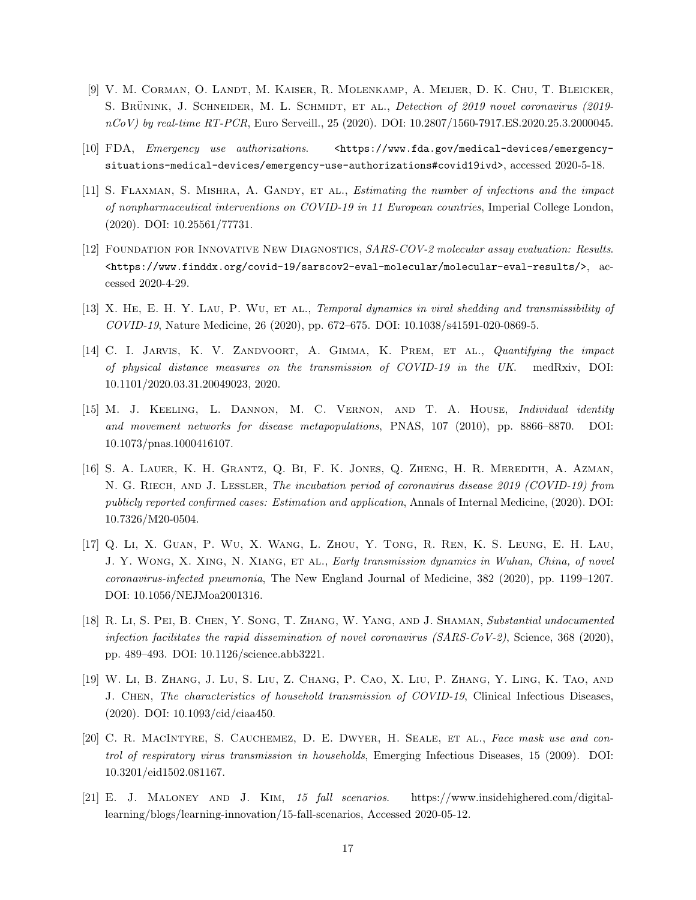- <span id="page-16-8"></span>[9] V. M. Corman, O. Landt, M. Kaiser, R. Molenkamp, A. Meijer, D. K. Chu, T. Bleicker, S. BRÜNINK, J. SCHNEIDER, M. L. SCHMIDT, ET AL., Detection of 2019 novel coronavirus (2019nCoV) by real-time RT-PCR, Euro Serveill., 25 (2020). DOI: 10.2807/1560-7917.ES.2020.25.3.2000045.
- <span id="page-16-10"></span>[10] FDA, *Emergency use authorizations*. <https://www.fda.gov/medical-devices/emergencysituations-medical-devices/emergency-use-authorizations#covid19ivd>, accessed 2020-5-18.
- <span id="page-16-5"></span>[11] S. FLAXMAN, S. MISHRA, A. GANDY, ET AL., *Estimating the number of infections and the impact* of nonpharmaceutical interventions on COVID-19 in 11 European countries, Imperial College London, (2020). DOI: 10.25561/77731.
- <span id="page-16-9"></span>[12] Foundation for Innovative New Diagnostics, SARS-COV-2 molecular assay evaluation: Results. <https://www.finddx.org/covid-19/sarscov2-eval-molecular/molecular-eval-results/>, accessed 2020-4-29.
- <span id="page-16-4"></span>[13] X. HE, E. H. Y. LAU, P. WU, ET AL., *Temporal dynamics in viral shedding and transmissibility of* COVID-19, Nature Medicine, 26 (2020), pp. 672–675. DOI: 10.1038/s41591-020-0869-5.
- <span id="page-16-11"></span>[14] C. I. JARVIS, K. V. ZANDVOORT, A. GIMMA, K. PREM, ET AL., Quantifying the impact of physical distance measures on the transmission of COVID-19 in the UK. medRxiv, DOI: 10.1101/2020.03.31.20049023, 2020.
- <span id="page-16-1"></span>[15] M. J. Keeling, L. Dannon, M. C. Vernon, and T. A. House, Individual identity and movement networks for disease metapopulations, PNAS, 107 (2010), pp. 8866–8870. DOI: 10.1073/pnas.1000416107.
- <span id="page-16-2"></span>[16] S. A. Lauer, K. H. Grantz, Q. Bi, F. K. Jones, Q. Zheng, H. R. Meredith, A. Azman, N. G. RIECH, AND J. LESSLER, The incubation period of coronavirus disease 2019 (COVID-19) from publicly reported confirmed cases: Estimation and application, Annals of Internal Medicine, (2020). DOI: 10.7326/M20-0504.
- <span id="page-16-3"></span>[17] Q. Li, X. Guan, P. Wu, X. Wang, L. Zhou, Y. Tong, R. Ren, K. S. Leung, E. H. Lau, J. Y. Wong, X. Xing, N. Xiang, et al., Early transmission dynamics in Wuhan, China, of novel coronavirus-infected pneumonia, The New England Journal of Medicine, 382 (2020), pp. 1199–1207. DOI: 10.1056/NEJMoa2001316.
- <span id="page-16-6"></span>[18] R. Li, S. Pei, B. Chen, Y. Song, T. Zhang, W. Yang, and J. Shaman, Substantial undocumented infection facilitates the rapid dissemination of novel coronavirus  $(SARS-CoV-2)$ , Science, 368 (2020), pp. 489–493. DOI: 10.1126/science.abb3221.
- <span id="page-16-12"></span>[19] W. Li, B. Zhang, J. Lu, S. Liu, Z. Chang, P. Cao, X. Liu, P. Zhang, Y. Ling, K. Tao, and J. Chen, The characteristics of household transmission of COVID-19, Clinical Infectious Diseases, (2020). DOI: 10.1093/cid/ciaa450.
- <span id="page-16-7"></span>[20] C. R. MacIntyre, S. Cauchemez, D. E. Dwyer, H. Seale, et al., Face mask use and control of respiratory virus transmission in households, Emerging Infectious Diseases, 15 (2009). DOI: 10.3201/eid1502.081167.
- <span id="page-16-0"></span>[21] E. J. Maloney and J. Kim, 15 fall scenarios. https://www.insidehighered.com/digitallearning/blogs/learning-innovation/15-fall-scenarios, Accessed 2020-05-12.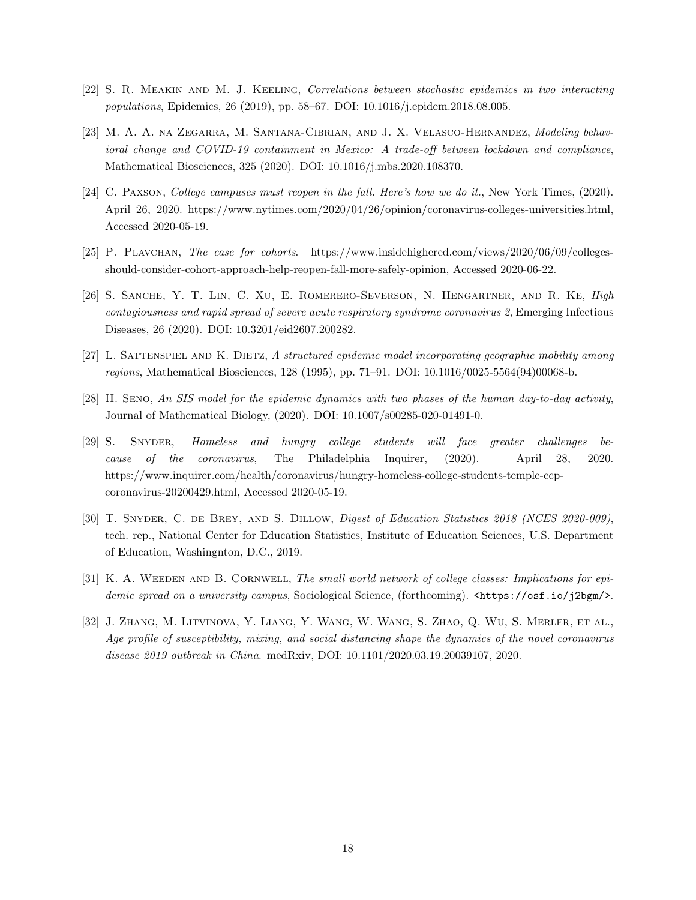- <span id="page-17-5"></span>[22] S. R. Meakin and M. J. Keeling, Correlations between stochastic epidemics in two interacting populations, Epidemics, 26 (2019), pp. 58–67. DOI: 10.1016/j.epidem.2018.08.005.
- <span id="page-17-7"></span>[23] M. A. A. na Zegarra, M. Santana-Cibrian, and J. X. Velasco-Hernandez, Modeling behavioral change and COVID-19 containment in Mexico: A trade-off between lockdown and compliance, Mathematical Biosciences, 325 (2020). DOI: 10.1016/j.mbs.2020.108370.
- <span id="page-17-1"></span>[24] C. Paxson, College campuses must reopen in the fall. Here's how we do it., New York Times, (2020). April 26, 2020. https://www.nytimes.com/2020/04/26/opinion/coronavirus-colleges-universities.html, Accessed 2020-05-19.
- <span id="page-17-10"></span>[25] P. Plavchan, The case for cohorts. https://www.insidehighered.com/views/2020/06/09/collegesshould-consider-cohort-approach-help-reopen-fall-more-safely-opinion, Accessed 2020-06-22.
- <span id="page-17-8"></span>[26] S. SANCHE, Y. T. LIN, C. XU, E. ROMERERO-SEVERSON, N. HENGARTNER, AND R. KE, *High* contagiousness and rapid spread of severe acute respiratory syndrome coronavirus 2, Emerging Infectious Diseases, 26 (2020). DOI: 10.3201/eid2607.200282.
- <span id="page-17-4"></span>[27] L. SATTENSPIEL AND K. DIETZ, A structured epidemic model incorporating geographic mobility among regions, Mathematical Biosciences, 128 (1995), pp. 71–91. DOI: 10.1016/0025-5564(94)00068-b.
- <span id="page-17-6"></span>[28] H. Seno, An SIS model for the epidemic dynamics with two phases of the human day-to-day activity, Journal of Mathematical Biology, (2020). DOI: 10.1007/s00285-020-01491-0.
- <span id="page-17-2"></span>[29] S. Snyder, Homeless and hungry college students will face greater challenges because of the coronavirus, The Philadelphia Inquirer, (2020). April 28, 2020. https://www.inquirer.com/health/coronavirus/hungry-homeless-college-students-temple-ccpcoronavirus-20200429.html, Accessed 2020-05-19.
- <span id="page-17-0"></span>[30] T. SNYDER, C. DE BREY, AND S. DILLOW, *Digest of Education Statistics 2018 (NCES 2020-009)*, tech. rep., National Center for Education Statistics, Institute of Education Sciences, U.S. Department of Education, Washingnton, D.C., 2019.
- <span id="page-17-3"></span>[31] K. A. WEEDEN AND B. CORNWELL, The small world network of college classes: Implications for epidemic spread on a university campus, Sociological Science, (forthcoming).  $\text{https://osf.io/j2bgm/>}$ .
- <span id="page-17-9"></span>[32] J. Zhang, M. Litvinova, Y. Liang, Y. Wang, W. Wang, S. Zhao, Q. Wu, S. Merler, et al., Age profile of susceptibility, mixing, and social distancing shape the dynamics of the novel coronavirus disease 2019 outbreak in China. medRxiv, DOI: 10.1101/2020.03.19.20039107, 2020.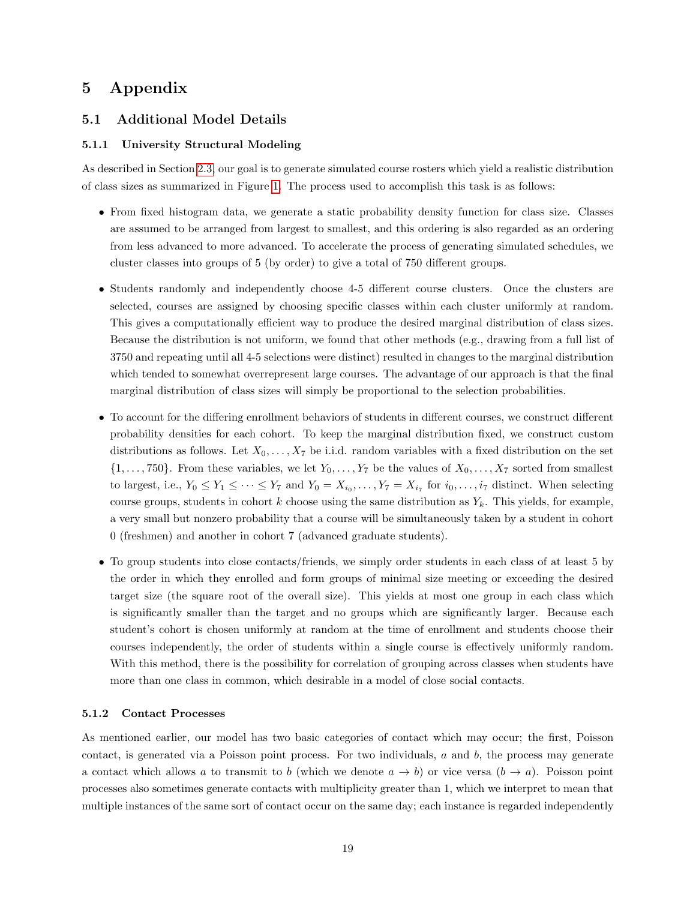# 5 Appendix

### 5.1 Additional Model Details

### <span id="page-18-1"></span>5.1.1 University Structural Modeling

As described in Section [2.3,](#page-6-0) our goal is to generate simulated course rosters which yield a realistic distribution of class sizes as summarized in Figure [1.](#page-8-1) The process used to accomplish this task is as follows:

- From fixed histogram data, we generate a static probability density function for class size. Classes are assumed to be arranged from largest to smallest, and this ordering is also regarded as an ordering from less advanced to more advanced. To accelerate the process of generating simulated schedules, we cluster classes into groups of 5 (by order) to give a total of 750 different groups.
- Students randomly and independently choose 4-5 different course clusters. Once the clusters are selected, courses are assigned by choosing specific classes within each cluster uniformly at random. This gives a computationally efficient way to produce the desired marginal distribution of class sizes. Because the distribution is not uniform, we found that other methods (e.g., drawing from a full list of 3750 and repeating until all 4-5 selections were distinct) resulted in changes to the marginal distribution which tended to somewhat overrepresent large courses. The advantage of our approach is that the final marginal distribution of class sizes will simply be proportional to the selection probabilities.
- To account for the differing enrollment behaviors of students in different courses, we construct different probability densities for each cohort. To keep the marginal distribution fixed, we construct custom distributions as follows. Let  $X_0, \ldots, X_7$  be i.i.d. random variables with a fixed distribution on the set  $\{1, \ldots, 750\}$ . From these variables, we let  $Y_0, \ldots, Y_7$  be the values of  $X_0, \ldots, X_7$  sorted from smallest to largest, i.e.,  $Y_0 \le Y_1 \le \cdots \le Y_7$  and  $Y_0 = X_{i_0}, \ldots, Y_7 = X_{i_7}$  for  $i_0, \ldots, i_7$  distinct. When selecting course groups, students in cohort k choose using the same distribution as  $Y_k$ . This yields, for example, a very small but nonzero probability that a course will be simultaneously taken by a student in cohort 0 (freshmen) and another in cohort 7 (advanced graduate students).
- To group students into close contacts/friends, we simply order students in each class of at least 5 by the order in which they enrolled and form groups of minimal size meeting or exceeding the desired target size (the square root of the overall size). This yields at most one group in each class which is significantly smaller than the target and no groups which are significantly larger. Because each student's cohort is chosen uniformly at random at the time of enrollment and students choose their courses independently, the order of students within a single course is effectively uniformly random. With this method, there is the possibility for correlation of grouping across classes when students have more than one class in common, which desirable in a model of close social contacts.

#### <span id="page-18-0"></span>5.1.2 Contact Processes

As mentioned earlier, our model has two basic categories of contact which may occur; the first, Poisson contact, is generated via a Poisson point process. For two individuals,  $a$  and  $b$ , the process may generate a contact which allows a to transmit to b (which we denote  $a \to b$ ) or vice versa  $(b \to a)$ . Poisson point processes also sometimes generate contacts with multiplicity greater than 1, which we interpret to mean that multiple instances of the same sort of contact occur on the same day; each instance is regarded independently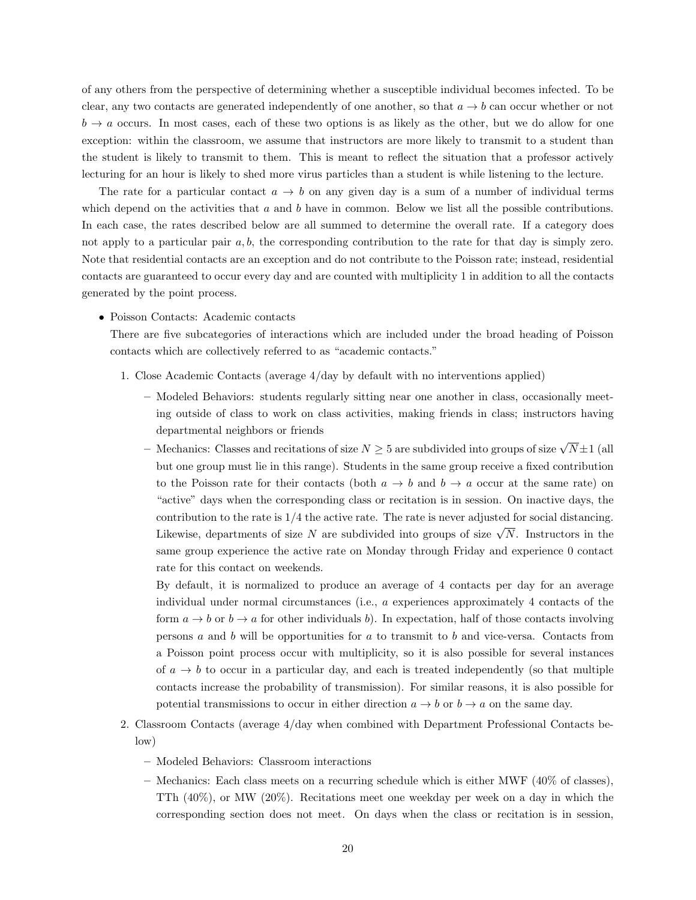of any others from the perspective of determining whether a susceptible individual becomes infected. To be clear, any two contacts are generated independently of one another, so that  $a \rightarrow b$  can occur whether or not  $b \to a$  occurs. In most cases, each of these two options is as likely as the other, but we do allow for one exception: within the classroom, we assume that instructors are more likely to transmit to a student than the student is likely to transmit to them. This is meant to reflect the situation that a professor actively lecturing for an hour is likely to shed more virus particles than a student is while listening to the lecture.

The rate for a particular contact  $a \to b$  on any given day is a sum of a number of individual terms which depend on the activities that  $a$  and  $b$  have in common. Below we list all the possible contributions. In each case, the rates described below are all summed to determine the overall rate. If a category does not apply to a particular pair  $a, b$ , the corresponding contribution to the rate for that day is simply zero. Note that residential contacts are an exception and do not contribute to the Poisson rate; instead, residential contacts are guaranteed to occur every day and are counted with multiplicity 1 in addition to all the contacts generated by the point process.

• Poisson Contacts: Academic contacts

There are five subcategories of interactions which are included under the broad heading of Poisson contacts which are collectively referred to as "academic contacts."

- 1. Close Academic Contacts (average 4/day by default with no interventions applied)
	- Modeled Behaviors: students regularly sitting near one another in class, occasionally meeting outside of class to work on class activities, making friends in class; instructors having departmental neighbors or friends
	- Mechanics: Classes and recitations of size  $N \geq 5$  are subdivided into groups of size  $\sqrt{N} \pm 1$  (all but one group must lie in this range). Students in the same group receive a fixed contribution to the Poisson rate for their contacts (both  $a \to b$  and  $b \to a$  occur at the same rate) on "active" days when the corresponding class or recitation is in session. On inactive days, the contribution to the rate is  $1/4$  the active rate. The rate is never adjusted for social distancing. Likewise, departments of size N are subdivided into groups of size  $\sqrt{N}$ . Instructors in the same group experience the active rate on Monday through Friday and experience 0 contact rate for this contact on weekends.

By default, it is normalized to produce an average of 4 contacts per day for an average individual under normal circumstances (i.e., a experiences approximately 4 contacts of the form  $a \to b$  or  $b \to a$  for other individuals b). In expectation, half of those contacts involving persons  $a$  and  $b$  will be opportunities for  $a$  to transmit to  $b$  and vice-versa. Contacts from a Poisson point process occur with multiplicity, so it is also possible for several instances of  $a \rightarrow b$  to occur in a particular day, and each is treated independently (so that multiple contacts increase the probability of transmission). For similar reasons, it is also possible for potential transmissions to occur in either direction  $a \to b$  or  $b \to a$  on the same day.

- 2. Classroom Contacts (average 4/day when combined with Department Professional Contacts below)
	- Modeled Behaviors: Classroom interactions
	- Mechanics: Each class meets on a recurring schedule which is either MWF (40% of classes), TTh (40%), or MW (20%). Recitations meet one weekday per week on a day in which the corresponding section does not meet. On days when the class or recitation is in session,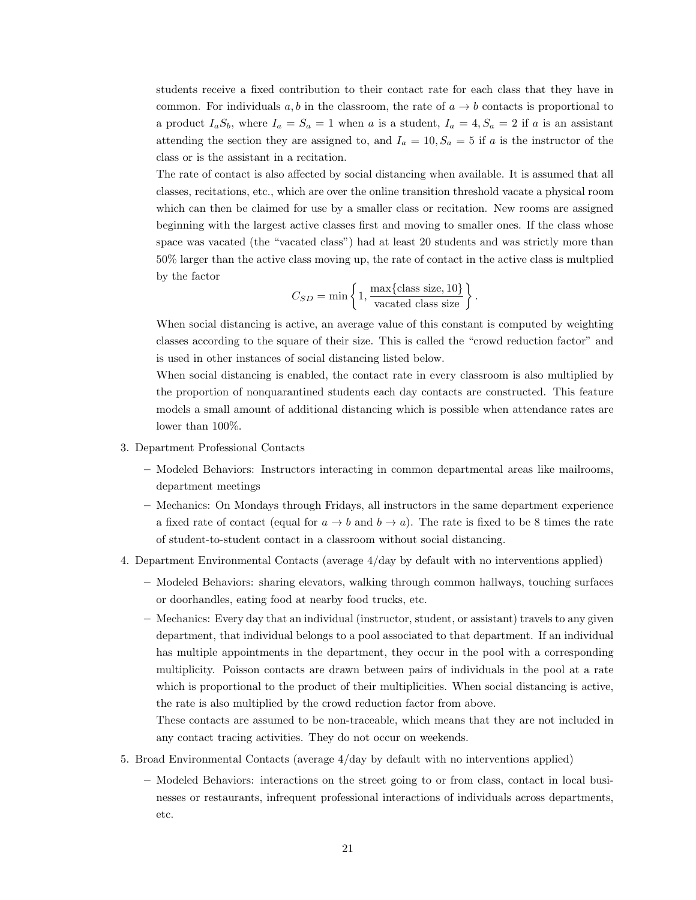students receive a fixed contribution to their contact rate for each class that they have in common. For individuals a, b in the classroom, the rate of  $a \to b$  contacts is proportional to a product  $I_aS_b$ , where  $I_a = S_a = 1$  when a is a student,  $I_a = 4, S_a = 2$  if a is an assistant attending the section they are assigned to, and  $I_a = 10, S_a = 5$  if a is the instructor of the class or is the assistant in a recitation.

The rate of contact is also affected by social distancing when available. It is assumed that all classes, recitations, etc., which are over the online transition threshold vacate a physical room which can then be claimed for use by a smaller class or recitation. New rooms are assigned beginning with the largest active classes first and moving to smaller ones. If the class whose space was vacated (the "vacated class") had at least 20 students and was strictly more than 50% larger than the active class moving up, the rate of contact in the active class is multplied by the factor

$$
C_{SD} = \min\left\{1, \frac{\max\{\text{class size}, 10\}}{\text{vacated class size}}\right\}
$$

.

When social distancing is active, an average value of this constant is computed by weighting classes according to the square of their size. This is called the "crowd reduction factor" and is used in other instances of social distancing listed below.

When social distancing is enabled, the contact rate in every classroom is also multiplied by the proportion of nonquarantined students each day contacts are constructed. This feature models a small amount of additional distancing which is possible when attendance rates are lower than 100%.

- 3. Department Professional Contacts
	- Modeled Behaviors: Instructors interacting in common departmental areas like mailrooms, department meetings
	- Mechanics: On Mondays through Fridays, all instructors in the same department experience a fixed rate of contact (equal for  $a \to b$  and  $b \to a$ ). The rate is fixed to be 8 times the rate of student-to-student contact in a classroom without social distancing.
- 4. Department Environmental Contacts (average 4/day by default with no interventions applied)
	- Modeled Behaviors: sharing elevators, walking through common hallways, touching surfaces or doorhandles, eating food at nearby food trucks, etc.
	- Mechanics: Every day that an individual (instructor, student, or assistant) travels to any given department, that individual belongs to a pool associated to that department. If an individual has multiple appointments in the department, they occur in the pool with a corresponding multiplicity. Poisson contacts are drawn between pairs of individuals in the pool at a rate which is proportional to the product of their multiplicities. When social distancing is active, the rate is also multiplied by the crowd reduction factor from above.

These contacts are assumed to be non-traceable, which means that they are not included in any contact tracing activities. They do not occur on weekends.

- 5. Broad Environmental Contacts (average 4/day by default with no interventions applied)
	- Modeled Behaviors: interactions on the street going to or from class, contact in local businesses or restaurants, infrequent professional interactions of individuals across departments, etc.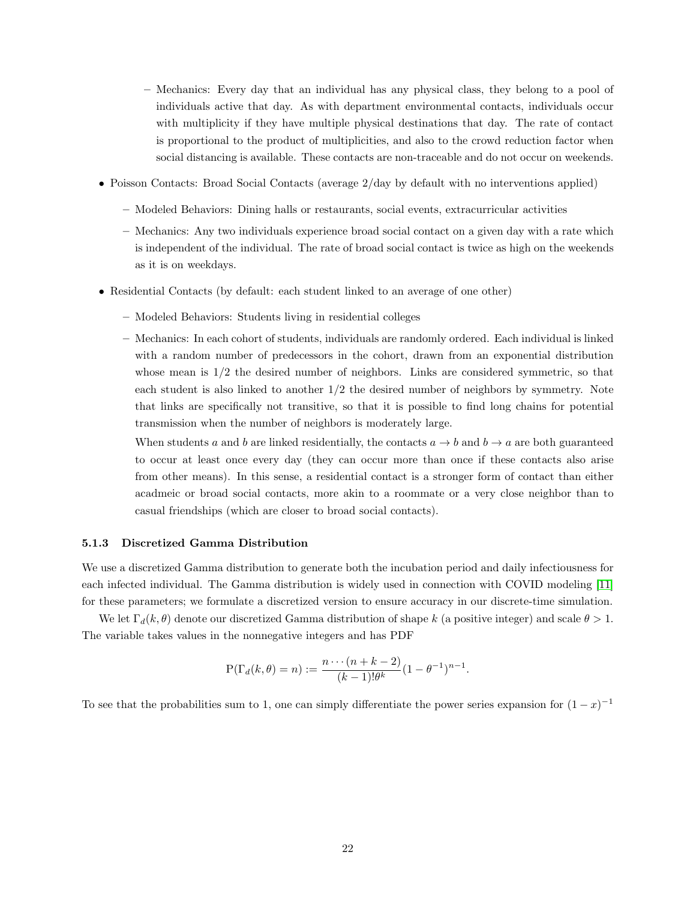- Mechanics: Every day that an individual has any physical class, they belong to a pool of individuals active that day. As with department environmental contacts, individuals occur with multiplicity if they have multiple physical destinations that day. The rate of contact is proportional to the product of multiplicities, and also to the crowd reduction factor when social distancing is available. These contacts are non-traceable and do not occur on weekends.
- Poisson Contacts: Broad Social Contacts (average  $2/day$  by default with no interventions applied)
	- Modeled Behaviors: Dining halls or restaurants, social events, extracurricular activities
	- Mechanics: Any two individuals experience broad social contact on a given day with a rate which is independent of the individual. The rate of broad social contact is twice as high on the weekends as it is on weekdays.
- Residential Contacts (by default: each student linked to an average of one other)
	- Modeled Behaviors: Students living in residential colleges
	- Mechanics: In each cohort of students, individuals are randomly ordered. Each individual is linked with a random number of predecessors in the cohort, drawn from an exponential distribution whose mean is  $1/2$  the desired number of neighbors. Links are considered symmetric, so that each student is also linked to another 1/2 the desired number of neighbors by symmetry. Note that links are specifically not transitive, so that it is possible to find long chains for potential transmission when the number of neighbors is moderately large.

When students a and b are linked residentially, the contacts  $a \rightarrow b$  and  $b \rightarrow a$  are both guaranteed to occur at least once every day (they can occur more than once if these contacts also arise from other means). In this sense, a residential contact is a stronger form of contact than either acadmeic or broad social contacts, more akin to a roommate or a very close neighbor than to casual friendships (which are closer to broad social contacts).

#### <span id="page-21-0"></span>5.1.3 Discretized Gamma Distribution

We use a discretized Gamma distribution to generate both the incubation period and daily infectiousness for each infected individual. The Gamma distribution is widely used in connection with COVID modeling [\[11\]](#page-16-5) for these parameters; we formulate a discretized version to ensure accuracy in our discrete-time simulation.

We let  $\Gamma_d(k, \theta)$  denote our discretized Gamma distribution of shape k (a positive integer) and scale  $\theta > 1$ . The variable takes values in the nonnegative integers and has PDF

$$
P(\Gamma_d(k,\theta) = n) := \frac{n \cdots (n+k-2)}{(k-1)! \theta^k} (1 - \theta^{-1})^{n-1}.
$$

To see that the probabilities sum to 1, one can simply differentiate the power series expansion for  $(1-x)^{-1}$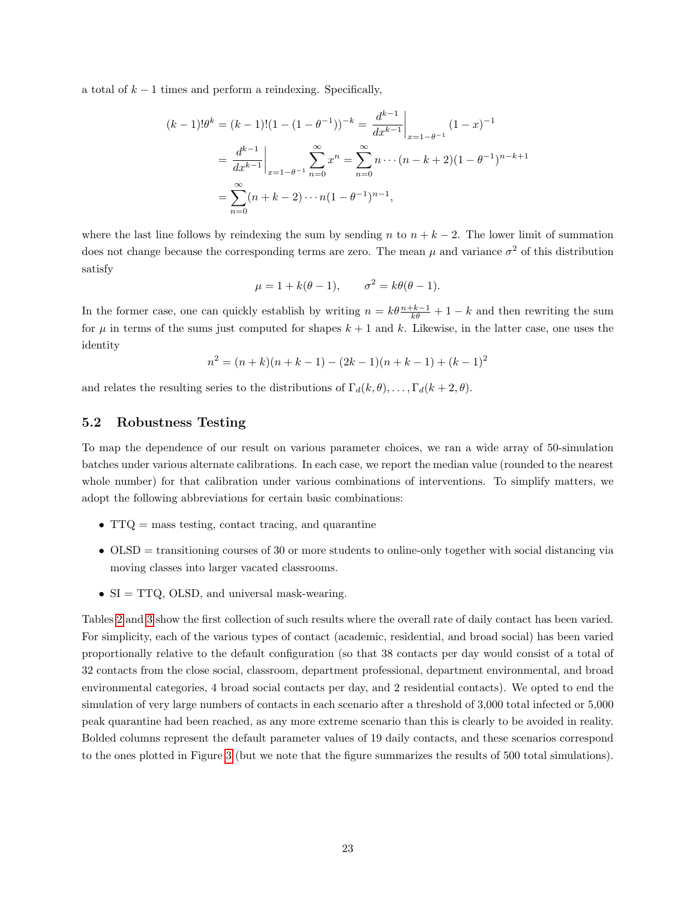a total of  $k-1$  times and perform a reindexing. Specifically,

$$
(k-1)!\theta^{k} = (k-1)!(1 - (1 - \theta^{-1}))^{-k} = \frac{d^{k-1}}{dx^{k-1}}\Big|_{x=1-\theta^{-1}} (1-x)^{-1}
$$

$$
= \frac{d^{k-1}}{dx^{k-1}}\Big|_{x=1-\theta^{-1}} \sum_{n=0}^{\infty} x^{n} = \sum_{n=0}^{\infty} n \cdots (n-k+2)(1 - \theta^{-1})^{n-k+1}
$$

$$
= \sum_{n=0}^{\infty} (n+k-2) \cdots n(1 - \theta^{-1})^{n-1},
$$

where the last line follows by reindexing the sum by sending n to  $n + k - 2$ . The lower limit of summation does not change because the corresponding terms are zero. The mean  $\mu$  and variance  $\sigma^2$  of this distribution satisfy

$$
\mu = 1 + k(\theta - 1), \qquad \sigma^2 = k\theta(\theta - 1).
$$

In the former case, one can quickly establish by writing  $n = k\theta \frac{n+k-1}{k\theta} + 1 - k$  and then rewriting the sum for  $\mu$  in terms of the sums just computed for shapes  $k + 1$  and k. Likewise, in the latter case, one uses the identity

$$
n^{2} = (n+k)(n+k-1) - (2k-1)(n+k-1) + (k-1)^{2}
$$

and relates the resulting series to the distributions of  $\Gamma_d(k, \theta), \ldots, \Gamma_d(k + 2, \theta)$ .

### 5.2 Robustness Testing

To map the dependence of our result on various parameter choices, we ran a wide array of 50-simulation batches under various alternate calibrations. In each case, we report the median value (rounded to the nearest whole number) for that calibration under various combinations of interventions. To simplify matters, we adopt the following abbreviations for certain basic combinations:

- TTQ = mass testing, contact tracing, and quarantine
- $\bullet$  OLSD = transitioning courses of 30 or more students to online-only together with social distancing via moving classes into larger vacated classrooms.
- SI = TTQ, OLSD, and universal mask-wearing.

Tables [2](#page-23-0) and [3](#page-23-1) show the first collection of such results where the overall rate of daily contact has been varied. For simplicity, each of the various types of contact (academic, residential, and broad social) has been varied proportionally relative to the default configuration (so that 38 contacts per day would consist of a total of 32 contacts from the close social, classroom, department professional, department environmental, and broad environmental categories, 4 broad social contacts per day, and 2 residential contacts). We opted to end the simulation of very large numbers of contacts in each scenario after a threshold of 3,000 total infected or 5,000 peak quarantine had been reached, as any more extreme scenario than this is clearly to be avoided in reality. Bolded columns represent the default parameter values of 19 daily contacts, and these scenarios correspond to the ones plotted in Figure [3](#page-11-0) (but we note that the figure summarizes the results of 500 total simulations).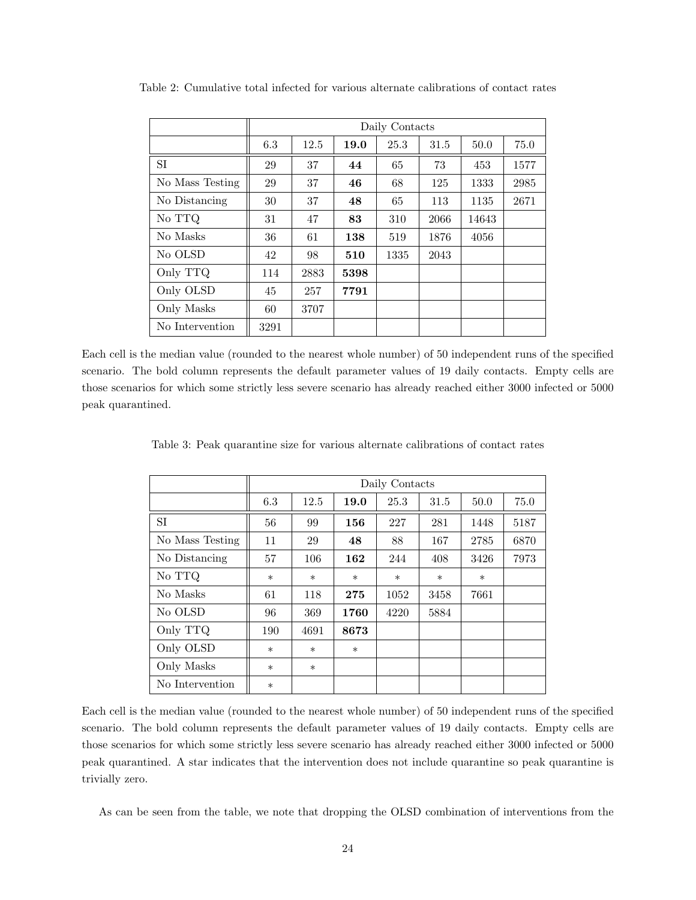|                 | Daily Contacts |      |      |      |      |       |      |  |  |
|-----------------|----------------|------|------|------|------|-------|------|--|--|
|                 | 6.3            | 12.5 | 19.0 | 25.3 | 31.5 | 50.0  | 75.0 |  |  |
| SI              | 29             | 37   | 44   | 65   | 73   | 453   | 1577 |  |  |
| No Mass Testing | 29             | 37   | 46   | 68   | 125  | 1333  | 2985 |  |  |
| No Distancing   | 30             | 37   | 48   | 65   | 113  | 1135  | 2671 |  |  |
| No TTQ          | 31             | 47   | 83   | 310  | 2066 | 14643 |      |  |  |
| No Masks        | 36             | 61   | 138  | 519  | 1876 | 4056  |      |  |  |
| No OLSD         | 42             | 98   | 510  | 1335 | 2043 |       |      |  |  |
| Only TTQ        | 114            | 2883 | 5398 |      |      |       |      |  |  |
| Only OLSD       | 45             | 257  | 7791 |      |      |       |      |  |  |
| Only Masks      | 60             | 3707 |      |      |      |       |      |  |  |
| No Intervention | 3291           |      |      |      |      |       |      |  |  |

<span id="page-23-0"></span>Table 2: Cumulative total infected for various alternate calibrations of contact rates

Each cell is the median value (rounded to the nearest whole number) of 50 independent runs of the specified scenario. The bold column represents the default parameter values of 19 daily contacts. Empty cells are those scenarios for which some strictly less severe scenario has already reached either 3000 infected or 5000 peak quarantined.

<span id="page-23-1"></span>Table 3: Peak quarantine size for various alternate calibrations of contact rates

|                 | Daily Contacts |        |        |        |        |        |      |  |  |
|-----------------|----------------|--------|--------|--------|--------|--------|------|--|--|
|                 | 6.3            | 12.5   | 19.0   | 25.3   | 31.5   | 50.0   | 75.0 |  |  |
| SI              | 56             | 99     | 156    | 227    | 281    | 1448   | 5187 |  |  |
| No Mass Testing | 11             | 29     | 48     | 88     | 167    | 2785   | 6870 |  |  |
| No Distancing   | 57             | 106    | 162    | 244    | 408    | 3426   | 7973 |  |  |
| No TTQ          | $\ast$         | $\ast$ | $\ast$ | $\ast$ | $\ast$ | $\ast$ |      |  |  |
| No Masks        | 61             | 118    | 275    | 1052   | 3458   | 7661   |      |  |  |
| No OLSD         | 96             | 369    | 1760   | 4220   | 5884   |        |      |  |  |
| Only TTQ        | 190            | 4691   | 8673   |        |        |        |      |  |  |
| Only OLSD       | $\ast$         | $\ast$ | $\ast$ |        |        |        |      |  |  |
| Only Masks      | $\ast$         | $\ast$ |        |        |        |        |      |  |  |
| No Intervention | $\ast$         |        |        |        |        |        |      |  |  |

Each cell is the median value (rounded to the nearest whole number) of 50 independent runs of the specified scenario. The bold column represents the default parameter values of 19 daily contacts. Empty cells are those scenarios for which some strictly less severe scenario has already reached either 3000 infected or 5000 peak quarantined. A star indicates that the intervention does not include quarantine so peak quarantine is trivially zero.

As can be seen from the table, we note that dropping the OLSD combination of interventions from the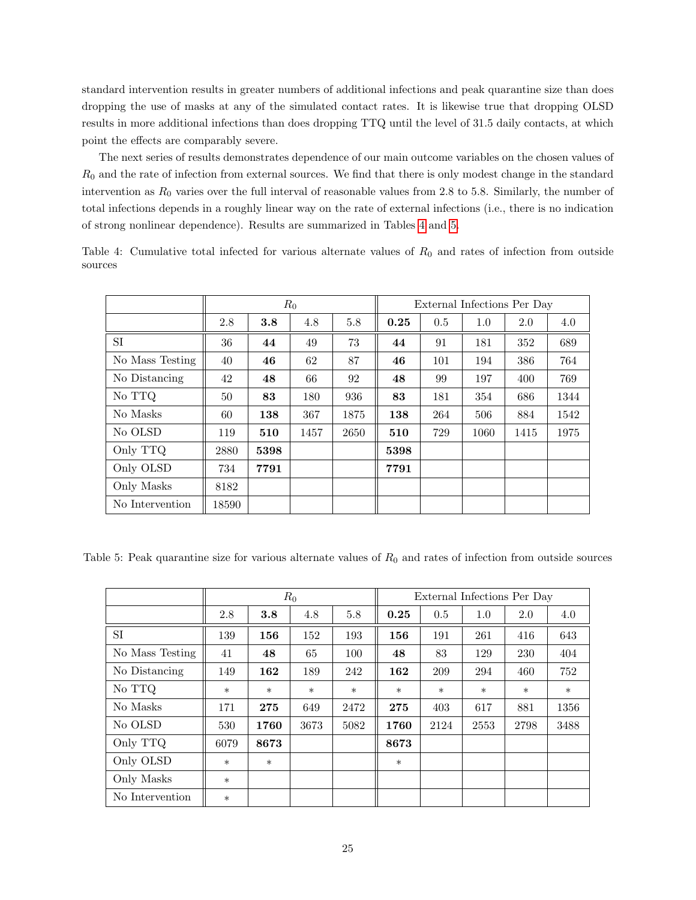standard intervention results in greater numbers of additional infections and peak quarantine size than does dropping the use of masks at any of the simulated contact rates. It is likewise true that dropping OLSD results in more additional infections than does dropping TTQ until the level of 31.5 daily contacts, at which point the effects are comparably severe.

The next series of results demonstrates dependence of our main outcome variables on the chosen values of  $R_0$  and the rate of infection from external sources. We find that there is only modest change in the standard intervention as  $R_0$  varies over the full interval of reasonable values from 2.8 to 5.8. Similarly, the number of total infections depends in a roughly linear way on the rate of external infections (i.e., there is no indication of strong nonlinear dependence). Results are summarized in Tables [4](#page-24-0) and [5.](#page-24-1)

|                 | $R_0$ |      |      |      | External Infections Per Day |     |      |      |      |
|-----------------|-------|------|------|------|-----------------------------|-----|------|------|------|
|                 | 2.8   | 3.8  | 4.8  | 5.8  | 0.25                        | 0.5 | 1.0  | 2.0  | 4.0  |
| SI              | 36    | 44   | 49   | 73   | 44                          | 91  | 181  | 352  | 689  |
| No Mass Testing | 40    | 46   | 62   | 87   | 46                          | 101 | 194  | 386  | 764  |
| No Distancing   | 42    | 48   | 66   | 92   | 48                          | 99  | 197  | 400  | 769  |
| No TTO          | 50    | 83   | 180  | 936  | 83                          | 181 | 354  | 686  | 1344 |
| No Masks        | 60    | 138  | 367  | 1875 | 138                         | 264 | 506  | 884  | 1542 |
| No OLSD         | 119   | 510  | 1457 | 2650 | 510                         | 729 | 1060 | 1415 | 1975 |
| Only TTQ        | 2880  | 5398 |      |      | 5398                        |     |      |      |      |
| Only OLSD       | 734   | 7791 |      |      | 7791                        |     |      |      |      |
| Only Masks      | 8182  |      |      |      |                             |     |      |      |      |
| No Intervention | 18590 |      |      |      |                             |     |      |      |      |

<span id="page-24-0"></span>Table 4: Cumulative total infected for various alternate values of  $R_0$  and rates of infection from outside sources

<span id="page-24-1"></span>Table 5: Peak quarantine size for various alternate values of  $R_0$  and rates of infection from outside sources

|                 | $R_0$  |        |        |        | External Infections Per Day |        |        |        |        |
|-----------------|--------|--------|--------|--------|-----------------------------|--------|--------|--------|--------|
|                 | 2.8    | 3.8    | 4.8    | 5.8    | 0.25                        | 0.5    | 1.0    | 2.0    | 4.0    |
| <b>SI</b>       | 139    | 156    | 152    | 193    | 156                         | 191    | 261    | 416    | 643    |
| No Mass Testing | 41     | 48     | 65     | 100    | 48                          | 83     | 129    | 230    | 404    |
| No Distancing   | 149    | 162    | 189    | 242    | 162                         | 209    | 294    | 460    | 752    |
| No TTQ          | $\ast$ | $\ast$ | $\ast$ | $\ast$ | $\ast$                      | $\ast$ | $\ast$ | $\ast$ | $\ast$ |
| No Masks        | 171    | 275    | 649    | 2472   | 275                         | 403    | 617    | 881    | 1356   |
| No OLSD         | 530    | 1760   | 3673   | 5082   | 1760                        | 2124   | 2553   | 2798   | 3488   |
| Only TTQ        | 6079   | 8673   |        |        | 8673                        |        |        |        |        |
| Only OLSD       | $\ast$ | $\ast$ |        |        | $\ast$                      |        |        |        |        |
| Only Masks      | $\ast$ |        |        |        |                             |        |        |        |        |
| No Intervention | $\ast$ |        |        |        |                             |        |        |        |        |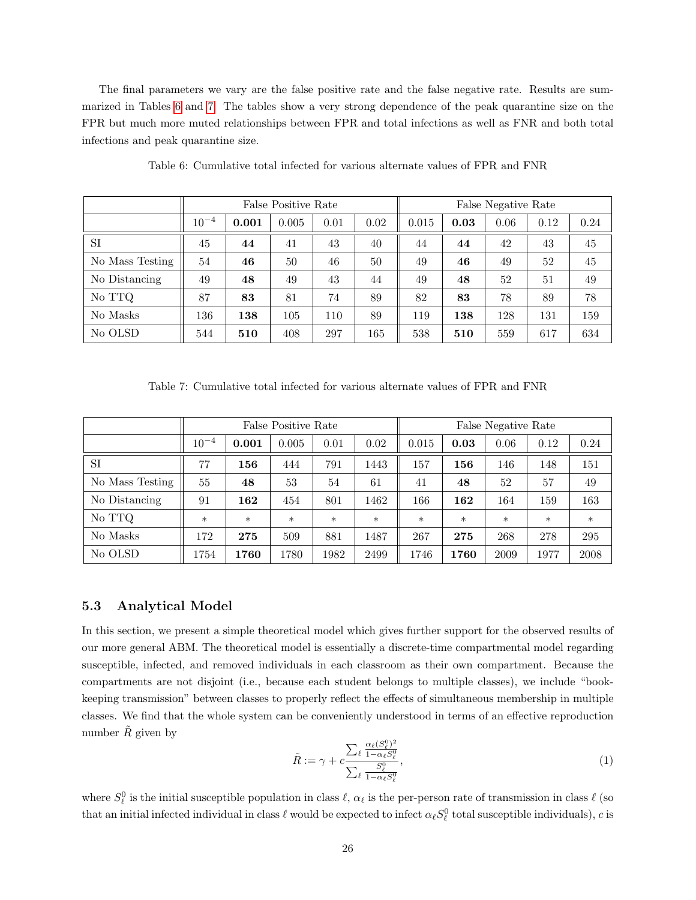The final parameters we vary are the false positive rate and the false negative rate. Results are summarized in Tables [6](#page-25-0) and [7.](#page-25-1) The tables show a very strong dependence of the peak quarantine size on the FPR but much more muted relationships between FPR and total infections as well as FNR and both total infections and peak quarantine size.

<span id="page-25-0"></span>

|                 | False Positive Rate |       |       |      |      | False Negative Rate |      |      |      |      |
|-----------------|---------------------|-------|-------|------|------|---------------------|------|------|------|------|
|                 | $10^{-4}$           | 0.001 | 0.005 | 0.01 | 0.02 | 0.015               | 0.03 | 0.06 | 0.12 | 0.24 |
| SI              | 45                  | 44    | 41    | 43   | 40   | 44                  | 44   | 42   | 43   | 45   |
| No Mass Testing | 54                  | 46    | 50    | 46   | 50   | 49                  | 46   | 49   | 52   | 45   |
| No Distancing   | 49                  | 48    | 49    | 43   | 44   | 49                  | 48   | 52   | 51   | 49   |
| No TTQ          | 87                  | 83    | 81    | 74   | 89   | 82                  | 83   | 78   | 89   | 78   |
| No Masks        | 136                 | 138   | 105   | 110  | 89   | 119                 | 138  | 128  | 131  | 159  |
| No OLSD         | 544                 | 510   | 408   | 297  | 165  | 538                 | 510  | 559  | 617  | 634  |

Table 6: Cumulative total infected for various alternate values of FPR and FNR

Table 7: Cumulative total infected for various alternate values of FPR and FNR

<span id="page-25-1"></span>

|                 | False Positive Rate |        |        |        |        | False Negative Rate |        |        |        |        |
|-----------------|---------------------|--------|--------|--------|--------|---------------------|--------|--------|--------|--------|
|                 | $10^{-4}$           | 0.001  | 0.005  | 0.01   | 0.02   | 0.015               | 0.03   | 0.06   | 0.12   | 0.24   |
| <b>SI</b>       | 77                  | 156    | 444    | 791    | 1443   | 157                 | 156    | 146    | 148    | 151    |
| No Mass Testing | 55                  | 48     | 53     | 54     | 61     | 41                  | 48     | 52     | 57     | 49     |
| No Distancing   | 91                  | 162    | 454    | 801    | 1462   | 166                 | 162    | 164    | 159    | 163    |
| No TTQ          | $\ast$              | $\ast$ | $\ast$ | $\ast$ | $\ast$ | $\ast$              | $\ast$ | $\ast$ | $\ast$ | $\ast$ |
| No Masks        | 172                 | 275    | 509    | 881    | 1487   | 267                 | 275    | 268    | 278    | 295    |
| No OLSD         | 1754                | 1760   | 1780   | 1982   | 2499   | 1746                | 1760   | 2009   | 1977   | 2008   |

### 5.3 Analytical Model

In this section, we present a simple theoretical model which gives further support for the observed results of our more general ABM. The theoretical model is essentially a discrete-time compartmental model regarding susceptible, infected, and removed individuals in each classroom as their own compartment. Because the compartments are not disjoint (i.e., because each student belongs to multiple classes), we include "bookkeeping transmission" between classes to properly reflect the effects of simultaneous membership in multiple classes. We find that the whole system can be conveniently understood in terms of an effective reproduction number  $\tilde{R}$  given by

<span id="page-25-2"></span>
$$
\tilde{R} := \gamma + c \frac{\sum_{\ell} \frac{\alpha_{\ell}(S_{\ell}^0)^2}{1 - \alpha_{\ell} S_{\ell}^0}}{\sum_{\ell} \frac{S_{\ell}^0}{1 - \alpha_{\ell} S_{\ell}^0}},\tag{1}
$$

where  $S_\ell^0$  is the initial susceptible population in class  $\ell$ ,  $\alpha_\ell$  is the per-person rate of transmission in class  $\ell$  (so that an initial infected individual in class  $\ell$  would be expected to infect  $\alpha_\ell S_\ell^0$  total susceptible individuals), c is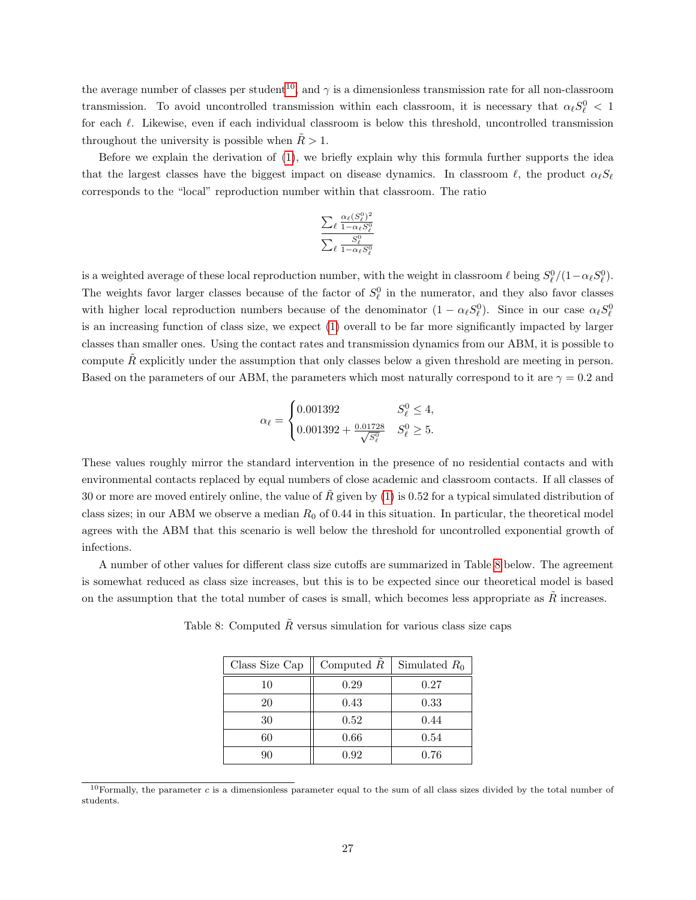the average number of classes per student<sup>[10](#page-26-0)</sup>, and  $\gamma$  is a dimensionless transmission rate for all non-classroom transmission. To avoid uncontrolled transmission within each classroom, it is necessary that  $\alpha_\ell S_\ell^0 < 1$ for each  $\ell$ . Likewise, even if each individual classroom is below this threshold, uncontrolled transmission throughout the university is possible when  $R > 1$ .

Before we explain the derivation of [\(1\)](#page-25-2), we briefly explain why this formula further supports the idea that the largest classes have the biggest impact on disease dynamics. In classroom  $\ell$ , the product  $\alpha_{\ell}S_{\ell}$ corresponds to the "local" reproduction number within that classroom. The ratio

$$
\frac{\sum_{\ell} \frac{\alpha_{\ell}(S_{\ell}^{0})^2}{1-\alpha_{\ell}S_{\ell}^{0}}}{\sum_{\ell} \frac{S_{\ell}^{0}}{1-\alpha_{\ell}S_{\ell}^{0}}}
$$

is a weighted average of these local reproduction number, with the weight in classroom  $\ell$  being  $S_{\ell}^0/(1-\alpha_{\ell}S_{\ell}^0)$ . The weights favor larger classes because of the factor of  $S_{\ell}^0$  in the numerator, and they also favor classes with higher local reproduction numbers because of the denominator  $(1 - \alpha_\ell S_\ell^0)$ . Since in our case  $\alpha_\ell S_\ell^0$ is an increasing function of class size, we expect [\(1\)](#page-25-2) overall to be far more significantly impacted by larger classes than smaller ones. Using the contact rates and transmission dynamics from our ABM, it is possible to compute  $\tilde{R}$  explicitly under the assumption that only classes below a given threshold are meeting in person. Based on the parameters of our ABM, the parameters which most naturally correspond to it are  $\gamma = 0.2$  and

$$
\alpha_{\ell} = \begin{cases} 0.001392 & S_{\ell}^{0} \le 4, \\ 0.001392 + \frac{0.01728}{\sqrt{S_{\ell}^{0}}} & S_{\ell}^{0} \ge 5. \end{cases}
$$

These values roughly mirror the standard intervention in the presence of no residential contacts and with environmental contacts replaced by equal numbers of close academic and classroom contacts. If all classes of 30 or more are moved entirely online, the value of R given by  $(1)$  is 0.52 for a typical simulated distribution of class sizes; in our ABM we observe a median  $R_0$  of 0.44 in this situation. In particular, the theoretical model agrees with the ABM that this scenario is well below the threshold for uncontrolled exponential growth of infections.

<span id="page-26-1"></span>A number of other values for different class size cutoffs are summarized in Table [8](#page-26-1) below. The agreement is somewhat reduced as class size increases, but this is to be expected since our theoretical model is based on the assumption that the total number of cases is small, which becomes less appropriate as  $\tilde{R}$  increases.

| Class Size Cap | Computed $R$ | Simulated $R_0$ |
|----------------|--------------|-----------------|
| 10             | 0.29         | 0.27            |
| 20             | 0.43         | 0.33            |
| 30             | 0.52         | 0.44            |
| 60             | 0.66         | 0.54            |
|                | 0.92         | 0.76            |

Table 8: Computed  $\tilde{R}$  versus simulation for various class size caps

<span id="page-26-0"></span><sup>&</sup>lt;sup>10</sup>Formally, the parameter  $c$  is a dimensionless parameter equal to the sum of all class sizes divided by the total number of students.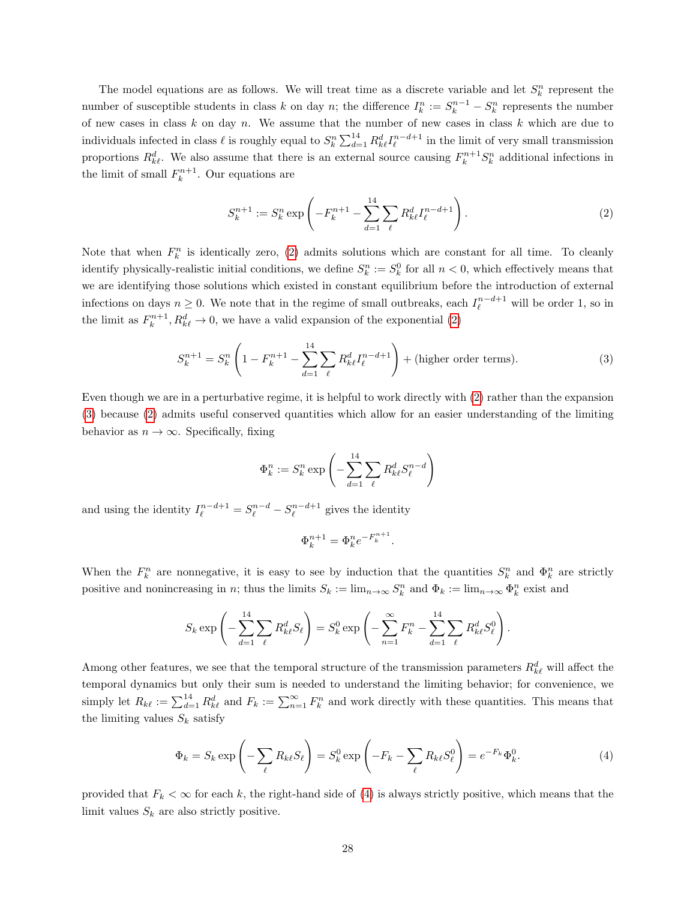The model equations are as follows. We will treat time as a discrete variable and let  $S_k^n$  represent the number of susceptible students in class k on day n; the difference  $I_k^n := S_k^{n-1} - S_k^n$  represents the number of new cases in class  $k$  on day  $n$ . We assume that the number of new cases in class  $k$  which are due to individuals infected in class  $\ell$  is roughly equal to  $S_k^n \sum_{d=1}^{14} R_{k\ell}^d I_\ell^{n-d+1}$  in the limit of very small transmission proportions  $R_{k\ell}^d$ . We also assume that there is an external source causing  $F_k^{n+1}S_k^n$  additional infections in the limit of small  $F_k^{n+1}$ . Our equations are

<span id="page-27-0"></span>
$$
S_k^{n+1} := S_k^n \exp\left(-F_k^{n+1} - \sum_{d=1}^{14} \sum_{\ell} R_{k\ell}^d I_{\ell}^{n-d+1}\right).
$$
 (2)

Note that when  $F_k^n$  is identically zero, [\(2\)](#page-27-0) admits solutions which are constant for all time. To cleanly identify physically-realistic initial conditions, we define  $S_k^n := S_k^0$  for all  $n < 0$ , which effectively means that we are identifying those solutions which existed in constant equilibrium before the introduction of external infections on days  $n \geq 0$ . We note that in the regime of small outbreaks, each  $I_{\ell}^{n-d+1}$  will be order 1, so in the limit as  $F_k^{n+1}, R_{k\ell}^d \to 0$ , we have a valid expansion of the exponential [\(2\)](#page-27-0)

<span id="page-27-1"></span>
$$
S_k^{n+1} = S_k^n \left( 1 - F_k^{n+1} - \sum_{d=1}^{14} \sum_{\ell} R_{k\ell}^d I_{\ell}^{n-d+1} \right) + \text{(higher order terms)}.
$$
 (3)

Even though we are in a perturbative regime, it is helpful to work directly with [\(2\)](#page-27-0) rather than the expansion [\(3\)](#page-27-1) because [\(2\)](#page-27-0) admits useful conserved quantities which allow for an easier understanding of the limiting behavior as  $n \to \infty$ . Specifically, fixing

$$
\Phi_k^n := S_k^n \exp\left(-\sum_{d=1}^{14} \sum_{\ell} R_{k\ell}^d S_{\ell}^{n-d}\right)
$$

and using the identity  $I_{\ell}^{n-d+1} = S_{\ell}^{n-d} - S_{\ell}^{n-d+1}$  gives the identity

$$
\Phi_k^{n+1} = \Phi_k^n e^{-F_k^{n+1}}.
$$

When the  $F_k^n$  are nonnegative, it is easy to see by induction that the quantities  $S_k^n$  and  $\Phi_k^n$  are strictly positive and nonincreasing in n; thus the limits  $S_k := \lim_{n \to \infty} S_k^n$  and  $\Phi_k := \lim_{n \to \infty} \Phi_k^n$  exist and

$$
S_k \exp\left(-\sum_{d=1}^{14} \sum_{\ell} R_{k\ell}^d S_{\ell}\right) = S_k^0 \exp\left(-\sum_{n=1}^{\infty} F_k^n - \sum_{d=1}^{14} \sum_{\ell} R_{k\ell}^d S_{\ell}^0\right).
$$

Among other features, we see that the temporal structure of the transmission parameters  $R_{k\ell}^d$  will affect the temporal dynamics but only their sum is needed to understand the limiting behavior; for convenience, we simply let  $R_{k\ell} := \sum_{d=1}^{14} R_{k\ell}^d$  and  $F_k := \sum_{n=1}^{\infty} F_k^n$  and work directly with these quantities. This means that the limiting values  $S_k$  satisfy

<span id="page-27-2"></span>
$$
\Phi_k = S_k \exp\left(-\sum_{\ell} R_{k\ell} S_{\ell}\right) = S_k^0 \exp\left(-F_k - \sum_{\ell} R_{k\ell} S_{\ell}^0\right) = e^{-F_k} \Phi_k^0.
$$
\n(4)

provided that  $F_k < \infty$  for each k, the right-hand side of [\(4\)](#page-27-2) is always strictly positive, which means that the limit values  $S_k$  are also strictly positive.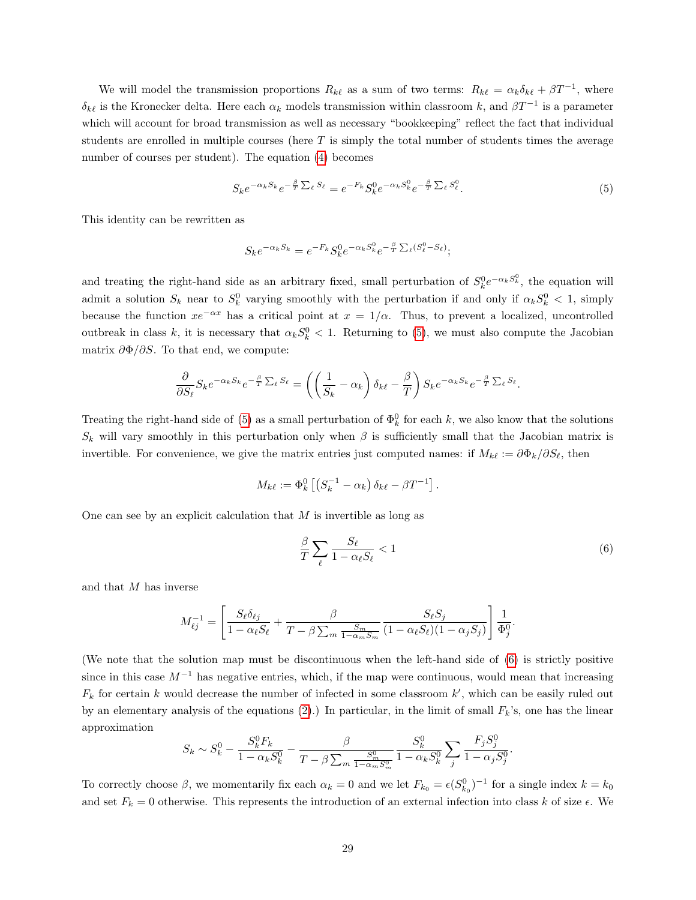We will model the transmission proportions  $R_{k\ell}$  as a sum of two terms:  $R_{k\ell} = \alpha_k \delta_{k\ell} + \beta T^{-1}$ , where  $\delta_{k\ell}$  is the Kronecker delta. Here each  $\alpha_k$  models transmission within classroom k, and  $\beta T^{-1}$  is a parameter which will account for broad transmission as well as necessary "bookkeeping" reflect the fact that individual students are enrolled in multiple courses (here  $T$  is simply the total number of students times the average number of courses per student). The equation [\(4\)](#page-27-2) becomes

<span id="page-28-0"></span>
$$
S_k e^{-\alpha_k S_k} e^{-\frac{\beta}{T} \sum_{\ell} S_{\ell}} = e^{-F_k} S_k^0 e^{-\alpha_k S_k^0} e^{-\frac{\beta}{T} \sum_{\ell} S_{\ell}^0}.
$$
\n
$$
(5)
$$

This identity can be rewritten as

$$
S_k e^{-\alpha_k S_k} = e^{-F_k} S_k^0 e^{-\alpha_k S_k^0} e^{-\frac{\beta}{T} \sum_{\ell} (S_{\ell}^0 - S_{\ell})};
$$

and treating the right-hand side as an arbitrary fixed, small perturbation of  $S_k^0 e^{-\alpha_k S_k^0}$ , the equation will admit a solution  $S_k$  near to  $S_k^0$  varying smoothly with the perturbation if and only if  $\alpha_k S_k^0 < 1$ , simply because the function  $xe^{-\alpha x}$  has a critical point at  $x = 1/\alpha$ . Thus, to prevent a localized, uncontrolled outbreak in class k, it is necessary that  $\alpha_k S_k^0 < 1$ . Returning to [\(5\)](#page-28-0), we must also compute the Jacobian matrix  $\partial \Phi / \partial S$ . To that end, we compute:

$$
\frac{\partial}{\partial S_{\ell}}S_{k}e^{-\alpha_{k}S_{k}}e^{-\frac{\beta}{T}\sum_{\ell}S_{\ell}}=\left(\left(\frac{1}{S_{k}}-\alpha_{k}\right)\delta_{k\ell}-\frac{\beta}{T}\right)S_{k}e^{-\alpha_{k}S_{k}}e^{-\frac{\beta}{T}\sum_{\ell}S_{\ell}}.
$$

Treating the right-hand side of [\(5\)](#page-28-0) as a small perturbation of  $\Phi_k^0$  for each k, we also know that the solutions  $S_k$  will vary smoothly in this perturbation only when  $\beta$  is sufficiently small that the Jacobian matrix is invertible. For convenience, we give the matrix entries just computed names: if  $M_{k\ell} := \partial \Phi_k/\partial S_\ell$ , then

$$
M_{k\ell} := \Phi_k^0 \left[ \left( S_k^{-1} - \alpha_k \right) \delta_{k\ell} - \beta T^{-1} \right].
$$

One can see by an explicit calculation that  $M$  is invertible as long as

<span id="page-28-1"></span>
$$
\frac{\beta}{T} \sum_{\ell} \frac{S_{\ell}}{1 - \alpha_{\ell} S_{\ell}} < 1 \tag{6}
$$

and that M has inverse

$$
M_{\ell j}^{-1} = \left[ \frac{S_{\ell} \delta_{\ell j}}{1 - \alpha_{\ell} S_{\ell}} + \frac{\beta}{T - \beta \sum_{m} \frac{S_m}{1 - \alpha_m S_m}} \frac{S_{\ell} S_j}{(1 - \alpha_{\ell} S_{\ell})(1 - \alpha_j S_j)} \right] \frac{1}{\Phi_j^0}.
$$

(We note that the solution map must be discontinuous when the left-hand side of [\(6\)](#page-28-1) is strictly positive since in this case  $M^{-1}$  has negative entries, which, if the map were continuous, would mean that increasing  $F_k$  for certain k would decrease the number of infected in some classroom  $k'$ , which can be easily ruled out by an elementary analysis of the equations [\(2\)](#page-27-0).) In particular, in the limit of small  $F_k$ 's, one has the linear approximation

$$
S_k \sim S_k^0 - \frac{S_k^0 F_k}{1 - \alpha_k S_k^0} - \frac{\beta}{T - \beta \sum_m \frac{S_m^0}{1 - \alpha_m S_m^0}} \frac{S_k^0}{1 - \alpha_k S_k^0} \sum_j \frac{F_j S_j^0}{1 - \alpha_j S_j^0}.
$$

To correctly choose  $\beta$ , we momentarily fix each  $\alpha_k = 0$  and we let  $F_{k_0} = \epsilon(S_{k_0}^0)^{-1}$  for a single index  $k = k_0$ and set  $F_k = 0$  otherwise. This represents the introduction of an external infection into class k of size  $\epsilon$ . We